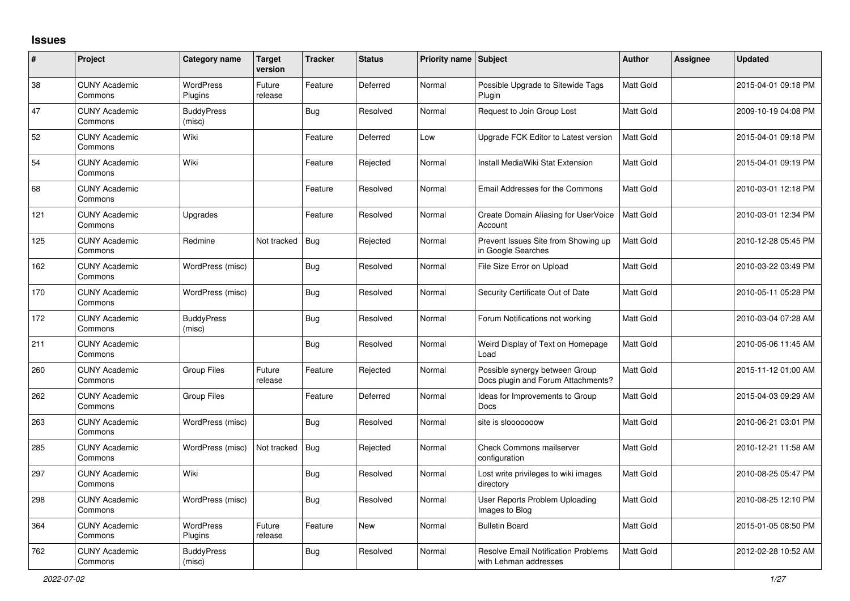## **Issues**

| #   | Project                         | Category name               | Target<br>version | <b>Tracker</b> | <b>Status</b> | Priority name Subject |                                                                      | <b>Author</b>    | <b>Assignee</b> | <b>Updated</b>      |
|-----|---------------------------------|-----------------------------|-------------------|----------------|---------------|-----------------------|----------------------------------------------------------------------|------------------|-----------------|---------------------|
| 38  | <b>CUNY Academic</b><br>Commons | <b>WordPress</b><br>Plugins | Future<br>release | Feature        | Deferred      | Normal                | Possible Upgrade to Sitewide Tags<br>Plugin                          | Matt Gold        |                 | 2015-04-01 09:18 PM |
| 47  | <b>CUNY Academic</b><br>Commons | <b>BuddyPress</b><br>(misc) |                   | <b>Bug</b>     | Resolved      | Normal                | Request to Join Group Lost                                           | <b>Matt Gold</b> |                 | 2009-10-19 04:08 PM |
| 52  | <b>CUNY Academic</b><br>Commons | Wiki                        |                   | Feature        | Deferred      | Low                   | Upgrade FCK Editor to Latest version                                 | <b>Matt Gold</b> |                 | 2015-04-01 09:18 PM |
| 54  | <b>CUNY Academic</b><br>Commons | Wiki                        |                   | Feature        | Rejected      | Normal                | Install MediaWiki Stat Extension                                     | Matt Gold        |                 | 2015-04-01 09:19 PM |
| 68  | <b>CUNY Academic</b><br>Commons |                             |                   | Feature        | Resolved      | Normal                | Email Addresses for the Commons                                      | Matt Gold        |                 | 2010-03-01 12:18 PM |
| 121 | <b>CUNY Academic</b><br>Commons | Upgrades                    |                   | Feature        | Resolved      | Normal                | Create Domain Aliasing for UserVoice<br>Account                      | <b>Matt Gold</b> |                 | 2010-03-01 12:34 PM |
| 125 | <b>CUNY Academic</b><br>Commons | Redmine                     | Not tracked       | Bug            | Rejected      | Normal                | Prevent Issues Site from Showing up<br>in Google Searches            | <b>Matt Gold</b> |                 | 2010-12-28 05:45 PM |
| 162 | <b>CUNY Academic</b><br>Commons | WordPress (misc)            |                   | <b>Bug</b>     | Resolved      | Normal                | File Size Error on Upload                                            | Matt Gold        |                 | 2010-03-22 03:49 PM |
| 170 | <b>CUNY Academic</b><br>Commons | WordPress (misc)            |                   | Bug            | Resolved      | Normal                | Security Certificate Out of Date                                     | <b>Matt Gold</b> |                 | 2010-05-11 05:28 PM |
| 172 | <b>CUNY Academic</b><br>Commons | <b>BuddyPress</b><br>(misc) |                   | <b>Bug</b>     | Resolved      | Normal                | Forum Notifications not working                                      | <b>Matt Gold</b> |                 | 2010-03-04 07:28 AM |
| 211 | <b>CUNY Academic</b><br>Commons |                             |                   | <b>Bug</b>     | Resolved      | Normal                | Weird Display of Text on Homepage<br>Load                            | Matt Gold        |                 | 2010-05-06 11:45 AM |
| 260 | <b>CUNY Academic</b><br>Commons | Group Files                 | Future<br>release | Feature        | Rejected      | Normal                | Possible synergy between Group<br>Docs plugin and Forum Attachments? | Matt Gold        |                 | 2015-11-12 01:00 AM |
| 262 | <b>CUNY Academic</b><br>Commons | <b>Group Files</b>          |                   | Feature        | Deferred      | Normal                | Ideas for Improvements to Group<br><b>Docs</b>                       | Matt Gold        |                 | 2015-04-03 09:29 AM |
| 263 | <b>CUNY Academic</b><br>Commons | WordPress (misc)            |                   | <b>Bug</b>     | Resolved      | Normal                | site is slooooooow                                                   | <b>Matt Gold</b> |                 | 2010-06-21 03:01 PM |
| 285 | <b>CUNY Academic</b><br>Commons | WordPress (misc)            | Not tracked       | Bug            | Rejected      | Normal                | <b>Check Commons mailserver</b><br>configuration                     | Matt Gold        |                 | 2010-12-21 11:58 AM |
| 297 | <b>CUNY Academic</b><br>Commons | Wiki                        |                   | <b>Bug</b>     | Resolved      | Normal                | Lost write privileges to wiki images<br>directory                    | Matt Gold        |                 | 2010-08-25 05:47 PM |
| 298 | <b>CUNY Academic</b><br>Commons | WordPress (misc)            |                   | <b>Bug</b>     | Resolved      | Normal                | User Reports Problem Uploading<br>Images to Blog                     | Matt Gold        |                 | 2010-08-25 12:10 PM |
| 364 | <b>CUNY Academic</b><br>Commons | <b>WordPress</b><br>Plugins | Future<br>release | Feature        | <b>New</b>    | Normal                | <b>Bulletin Board</b>                                                | <b>Matt Gold</b> |                 | 2015-01-05 08:50 PM |
| 762 | <b>CUNY Academic</b><br>Commons | <b>BuddyPress</b><br>(misc) |                   | <b>Bug</b>     | Resolved      | Normal                | <b>Resolve Email Notification Problems</b><br>with Lehman addresses  | Matt Gold        |                 | 2012-02-28 10:52 AM |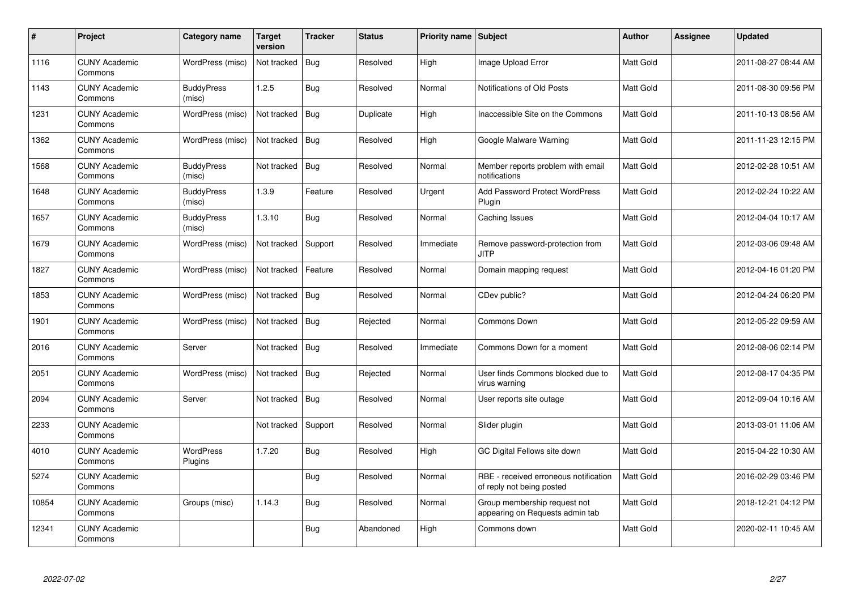| $\#$  | Project                         | Category name               | <b>Target</b><br>version | <b>Tracker</b> | <b>Status</b> | <b>Priority name   Subject</b> |                                                                    | <b>Author</b>    | <b>Assignee</b> | <b>Updated</b>      |
|-------|---------------------------------|-----------------------------|--------------------------|----------------|---------------|--------------------------------|--------------------------------------------------------------------|------------------|-----------------|---------------------|
| 1116  | <b>CUNY Academic</b><br>Commons | WordPress (misc)            | Not tracked              | <b>Bug</b>     | Resolved      | High                           | Image Upload Error                                                 | Matt Gold        |                 | 2011-08-27 08:44 AM |
| 1143  | <b>CUNY Academic</b><br>Commons | <b>BuddyPress</b><br>(misc) | 1.2.5                    | Bug            | Resolved      | Normal                         | Notifications of Old Posts                                         | <b>Matt Gold</b> |                 | 2011-08-30 09:56 PM |
| 1231  | <b>CUNY Academic</b><br>Commons | WordPress (misc)            | Not tracked              | <b>Bug</b>     | Duplicate     | High                           | Inaccessible Site on the Commons                                   | Matt Gold        |                 | 2011-10-13 08:56 AM |
| 1362  | <b>CUNY Academic</b><br>Commons | WordPress (misc)            | Not tracked              | <b>Bug</b>     | Resolved      | High                           | Google Malware Warning                                             | Matt Gold        |                 | 2011-11-23 12:15 PM |
| 1568  | <b>CUNY Academic</b><br>Commons | <b>BuddyPress</b><br>(misc) | Not tracked              | Bug            | Resolved      | Normal                         | Member reports problem with email<br>notifications                 | <b>Matt Gold</b> |                 | 2012-02-28 10:51 AM |
| 1648  | <b>CUNY Academic</b><br>Commons | <b>BuddyPress</b><br>(misc) | 1.3.9                    | Feature        | Resolved      | Urgent                         | <b>Add Password Protect WordPress</b><br>Plugin                    | Matt Gold        |                 | 2012-02-24 10:22 AM |
| 1657  | <b>CUNY Academic</b><br>Commons | <b>BuddyPress</b><br>(misc) | 1.3.10                   | <b>Bug</b>     | Resolved      | Normal                         | Caching Issues                                                     | Matt Gold        |                 | 2012-04-04 10:17 AM |
| 1679  | <b>CUNY Academic</b><br>Commons | WordPress (misc)            | Not tracked              | Support        | Resolved      | Immediate                      | Remove password-protection from<br><b>JITP</b>                     | <b>Matt Gold</b> |                 | 2012-03-06 09:48 AM |
| 1827  | <b>CUNY Academic</b><br>Commons | WordPress (misc)            | Not tracked              | Feature        | Resolved      | Normal                         | Domain mapping request                                             | <b>Matt Gold</b> |                 | 2012-04-16 01:20 PM |
| 1853  | <b>CUNY Academic</b><br>Commons | WordPress (misc)            | Not tracked              | <b>Bug</b>     | Resolved      | Normal                         | CDev public?                                                       | Matt Gold        |                 | 2012-04-24 06:20 PM |
| 1901  | <b>CUNY Academic</b><br>Commons | WordPress (misc)            | Not tracked              | <b>Bug</b>     | Rejected      | Normal                         | Commons Down                                                       | Matt Gold        |                 | 2012-05-22 09:59 AM |
| 2016  | <b>CUNY Academic</b><br>Commons | Server                      | Not tracked              | Bug            | Resolved      | Immediate                      | Commons Down for a moment                                          | Matt Gold        |                 | 2012-08-06 02:14 PM |
| 2051  | <b>CUNY Academic</b><br>Commons | WordPress (misc)            | Not tracked              | <b>Bug</b>     | Rejected      | Normal                         | User finds Commons blocked due to<br>virus warning                 | Matt Gold        |                 | 2012-08-17 04:35 PM |
| 2094  | <b>CUNY Academic</b><br>Commons | Server                      | Not tracked              | Bug            | Resolved      | Normal                         | User reports site outage                                           | Matt Gold        |                 | 2012-09-04 10:16 AM |
| 2233  | <b>CUNY Academic</b><br>Commons |                             | Not tracked              | Support        | Resolved      | Normal                         | Slider plugin                                                      | Matt Gold        |                 | 2013-03-01 11:06 AM |
| 4010  | <b>CUNY Academic</b><br>Commons | WordPress<br>Plugins        | 1.7.20                   | <b>Bug</b>     | Resolved      | High                           | GC Digital Fellows site down                                       | Matt Gold        |                 | 2015-04-22 10:30 AM |
| 5274  | <b>CUNY Academic</b><br>Commons |                             |                          | Bug            | Resolved      | Normal                         | RBE - received erroneous notification<br>of reply not being posted | Matt Gold        |                 | 2016-02-29 03:46 PM |
| 10854 | <b>CUNY Academic</b><br>Commons | Groups (misc)               | 1.14.3                   | <b>Bug</b>     | Resolved      | Normal                         | Group membership request not<br>appearing on Requests admin tab    | Matt Gold        |                 | 2018-12-21 04:12 PM |
| 12341 | <b>CUNY Academic</b><br>Commons |                             |                          | <b>Bug</b>     | Abandoned     | High                           | Commons down                                                       | Matt Gold        |                 | 2020-02-11 10:45 AM |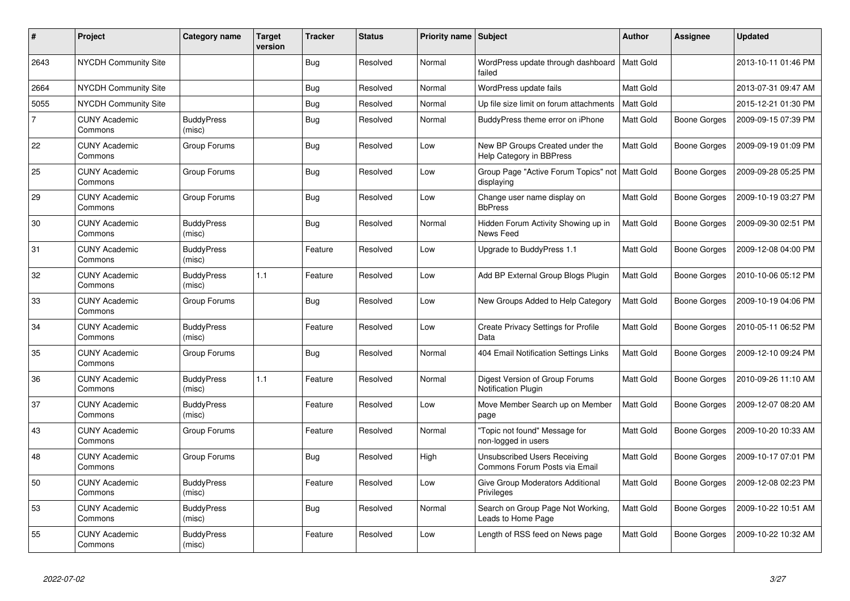| #              | Project                         | Category name               | <b>Target</b><br>version | Tracker    | <b>Status</b> | Priority name Subject |                                                               | <b>Author</b>    | <b>Assignee</b> | Updated             |
|----------------|---------------------------------|-----------------------------|--------------------------|------------|---------------|-----------------------|---------------------------------------------------------------|------------------|-----------------|---------------------|
| 2643           | <b>NYCDH Community Site</b>     |                             |                          | <b>Bug</b> | Resolved      | Normal                | WordPress update through dashboard<br>failed                  | <b>Matt Gold</b> |                 | 2013-10-11 01:46 PM |
| 2664           | NYCDH Community Site            |                             |                          | <b>Bug</b> | Resolved      | Normal                | WordPress update fails                                        | Matt Gold        |                 | 2013-07-31 09:47 AM |
| 5055           | NYCDH Community Site            |                             |                          | <b>Bug</b> | Resolved      | Normal                | Up file size limit on forum attachments                       | <b>Matt Gold</b> |                 | 2015-12-21 01:30 PM |
| $\overline{7}$ | <b>CUNY Academic</b><br>Commons | <b>BuddyPress</b><br>(misc) |                          | <b>Bug</b> | Resolved      | Normal                | BuddyPress theme error on iPhone                              | Matt Gold        | Boone Gorges    | 2009-09-15 07:39 PM |
| 22             | <b>CUNY Academic</b><br>Commons | Group Forums                |                          | <b>Bug</b> | Resolved      | Low                   | New BP Groups Created under the<br>Help Category in BBPress   | <b>Matt Gold</b> | Boone Gorges    | 2009-09-19 01:09 PM |
| 25             | <b>CUNY Academic</b><br>Commons | Group Forums                |                          | <b>Bug</b> | Resolved      | Low                   | Group Page "Active Forum Topics" not<br>displaying            | Matt Gold        | Boone Gorges    | 2009-09-28 05:25 PM |
| 29             | <b>CUNY Academic</b><br>Commons | Group Forums                |                          | Bug        | Resolved      | Low                   | Change user name display on<br><b>BbPress</b>                 | Matt Gold        | Boone Gorges    | 2009-10-19 03:27 PM |
| 30             | <b>CUNY Academic</b><br>Commons | <b>BuddyPress</b><br>(misc) |                          | Bug        | Resolved      | Normal                | Hidden Forum Activity Showing up in<br>News Feed              | Matt Gold        | Boone Gorges    | 2009-09-30 02:51 PM |
| 31             | <b>CUNY Academic</b><br>Commons | <b>BuddyPress</b><br>(misc) |                          | Feature    | Resolved      | Low                   | Upgrade to BuddyPress 1.1                                     | Matt Gold        | Boone Gorges    | 2009-12-08 04:00 PM |
| 32             | <b>CUNY Academic</b><br>Commons | <b>BuddyPress</b><br>(misc) | 1.1                      | Feature    | Resolved      | Low                   | Add BP External Group Blogs Plugin                            | Matt Gold        | Boone Gorges    | 2010-10-06 05:12 PM |
| 33             | <b>CUNY Academic</b><br>Commons | Group Forums                |                          | <b>Bug</b> | Resolved      | Low                   | New Groups Added to Help Category                             | <b>Matt Gold</b> | Boone Gorges    | 2009-10-19 04:06 PM |
| 34             | <b>CUNY Academic</b><br>Commons | <b>BuddyPress</b><br>(misc) |                          | Feature    | Resolved      | Low                   | Create Privacy Settings for Profile<br>Data                   | Matt Gold        | Boone Gorges    | 2010-05-11 06:52 PM |
| 35             | <b>CUNY Academic</b><br>Commons | Group Forums                |                          | <b>Bug</b> | Resolved      | Normal                | 404 Email Notification Settings Links                         | <b>Matt Gold</b> | Boone Gorges    | 2009-12-10 09:24 PM |
| 36             | <b>CUNY Academic</b><br>Commons | <b>BuddyPress</b><br>(misc) | 1.1                      | Feature    | Resolved      | Normal                | Digest Version of Group Forums<br>Notification Plugin         | Matt Gold        | Boone Gorges    | 2010-09-26 11:10 AM |
| 37             | <b>CUNY Academic</b><br>Commons | <b>BuddyPress</b><br>(misc) |                          | Feature    | Resolved      | Low                   | Move Member Search up on Member<br>page                       | Matt Gold        | Boone Gorges    | 2009-12-07 08:20 AM |
| 43             | <b>CUNY Academic</b><br>Commons | Group Forums                |                          | Feature    | Resolved      | Normal                | "Topic not found" Message for<br>non-logged in users          | Matt Gold        | Boone Gorges    | 2009-10-20 10:33 AM |
| 48             | <b>CUNY Academic</b><br>Commons | Group Forums                |                          | Bug        | Resolved      | High                  | Unsubscribed Users Receiving<br>Commons Forum Posts via Email | Matt Gold        | Boone Gorges    | 2009-10-17 07:01 PM |
| 50             | <b>CUNY Academic</b><br>Commons | <b>BuddyPress</b><br>(misc) |                          | Feature    | Resolved      | Low                   | Give Group Moderators Additional<br>Privileges                | Matt Gold        | Boone Gorges    | 2009-12-08 02:23 PM |
| 53             | <b>CUNY Academic</b><br>Commons | <b>BuddyPress</b><br>(misc) |                          | <b>Bug</b> | Resolved      | Normal                | Search on Group Page Not Working,<br>Leads to Home Page       | Matt Gold        | Boone Gorges    | 2009-10-22 10:51 AM |
| 55             | <b>CUNY Academic</b><br>Commons | <b>BuddyPress</b><br>(misc) |                          | Feature    | Resolved      | Low                   | Length of RSS feed on News page                               | Matt Gold        | Boone Gorges    | 2009-10-22 10:32 AM |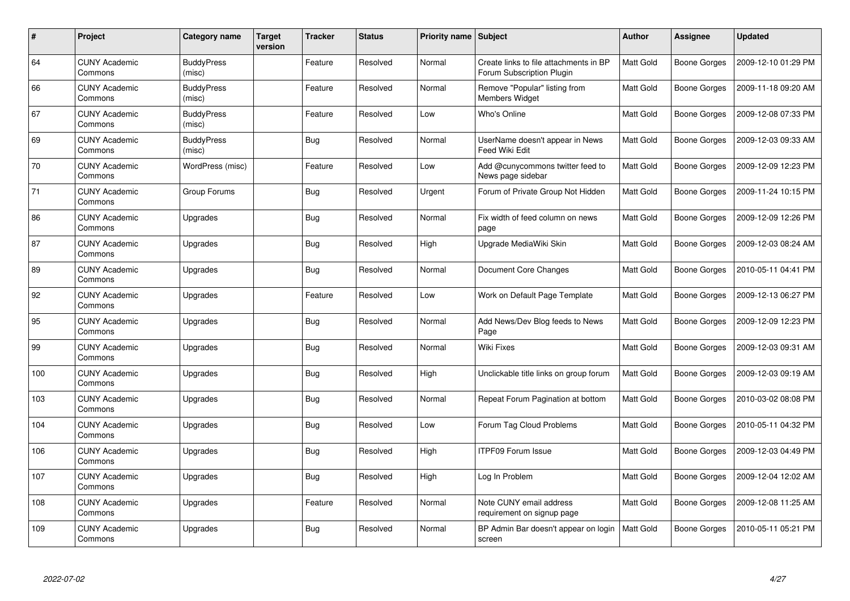| $\#$ | Project                         | Category name               | Target<br>version | Tracker    | <b>Status</b> | <b>Priority name Subject</b> |                                                                     | Author           | <b>Assignee</b> | <b>Updated</b>      |
|------|---------------------------------|-----------------------------|-------------------|------------|---------------|------------------------------|---------------------------------------------------------------------|------------------|-----------------|---------------------|
| 64   | <b>CUNY Academic</b><br>Commons | <b>BuddyPress</b><br>(misc) |                   | Feature    | Resolved      | Normal                       | Create links to file attachments in BP<br>Forum Subscription Plugin | Matt Gold        | Boone Gorges    | 2009-12-10 01:29 PM |
| 66   | <b>CUNY Academic</b><br>Commons | <b>BuddyPress</b><br>(misc) |                   | Feature    | Resolved      | Normal                       | Remove "Popular" listing from<br><b>Members Widget</b>              | Matt Gold        | Boone Gorges    | 2009-11-18 09:20 AM |
| 67   | <b>CUNY Academic</b><br>Commons | <b>BuddyPress</b><br>(misc) |                   | Feature    | Resolved      | Low                          | Who's Online                                                        | Matt Gold        | Boone Gorges    | 2009-12-08 07:33 PM |
| 69   | <b>CUNY Academic</b><br>Commons | <b>BuddyPress</b><br>(misc) |                   | Bug        | Resolved      | Normal                       | UserName doesn't appear in News<br>Feed Wiki Edit                   | Matt Gold        | Boone Gorges    | 2009-12-03 09:33 AM |
| 70   | <b>CUNY Academic</b><br>Commons | WordPress (misc)            |                   | Feature    | Resolved      | Low                          | Add @cunycommons twitter feed to<br>News page sidebar               | Matt Gold        | Boone Gorges    | 2009-12-09 12:23 PM |
| 71   | <b>CUNY Academic</b><br>Commons | Group Forums                |                   | Bug        | Resolved      | Urgent                       | Forum of Private Group Not Hidden                                   | Matt Gold        | Boone Gorges    | 2009-11-24 10:15 PM |
| 86   | <b>CUNY Academic</b><br>Commons | Upgrades                    |                   | <b>Bug</b> | Resolved      | Normal                       | Fix width of feed column on news<br>page                            | Matt Gold        | Boone Gorges    | 2009-12-09 12:26 PM |
| 87   | <b>CUNY Academic</b><br>Commons | Upgrades                    |                   | Bug        | Resolved      | High                         | Upgrade MediaWiki Skin                                              | Matt Gold        | Boone Gorges    | 2009-12-03 08:24 AM |
| 89   | <b>CUNY Academic</b><br>Commons | Upgrades                    |                   | <b>Bug</b> | Resolved      | Normal                       | Document Core Changes                                               | Matt Gold        | Boone Gorges    | 2010-05-11 04:41 PM |
| 92   | <b>CUNY Academic</b><br>Commons | Upgrades                    |                   | Feature    | Resolved      | Low                          | Work on Default Page Template                                       | Matt Gold        | Boone Gorges    | 2009-12-13 06:27 PM |
| 95   | <b>CUNY Academic</b><br>Commons | Upgrades                    |                   | Bug        | Resolved      | Normal                       | Add News/Dev Blog feeds to News<br>Page                             | Matt Gold        | Boone Gorges    | 2009-12-09 12:23 PM |
| 99   | <b>CUNY Academic</b><br>Commons | Upgrades                    |                   | Bug        | Resolved      | Normal                       | Wiki Fixes                                                          | Matt Gold        | Boone Gorges    | 2009-12-03 09:31 AM |
| 100  | <b>CUNY Academic</b><br>Commons | Upgrades                    |                   | Bug        | Resolved      | High                         | Unclickable title links on group forum                              | Matt Gold        | Boone Gorges    | 2009-12-03 09:19 AM |
| 103  | <b>CUNY Academic</b><br>Commons | Upgrades                    |                   | <b>Bug</b> | Resolved      | Normal                       | Repeat Forum Pagination at bottom                                   | Matt Gold        | Boone Gorges    | 2010-03-02 08:08 PM |
| 104  | <b>CUNY Academic</b><br>Commons | Upgrades                    |                   | Bug        | Resolved      | Low                          | Forum Tag Cloud Problems                                            | <b>Matt Gold</b> | Boone Gorges    | 2010-05-11 04:32 PM |
| 106  | <b>CUNY Academic</b><br>Commons | Upgrades                    |                   | <b>Bug</b> | Resolved      | High                         | <b>ITPF09 Forum Issue</b>                                           | Matt Gold        | Boone Gorges    | 2009-12-03 04:49 PM |
| 107  | <b>CUNY Academic</b><br>Commons | Upgrades                    |                   | Bug        | Resolved      | High                         | Log In Problem                                                      | Matt Gold        | Boone Gorges    | 2009-12-04 12:02 AM |
| 108  | <b>CUNY Academic</b><br>Commons | Upgrades                    |                   | Feature    | Resolved      | Normal                       | Note CUNY email address<br>requirement on signup page               | Matt Gold        | Boone Gorges    | 2009-12-08 11:25 AM |
| 109  | CUNY Academic<br>Commons        | Upgrades                    |                   | <b>Bug</b> | Resolved      | Normal                       | BP Admin Bar doesn't appear on login<br>screen                      | <b>Matt Gold</b> | Boone Gorges    | 2010-05-11 05:21 PM |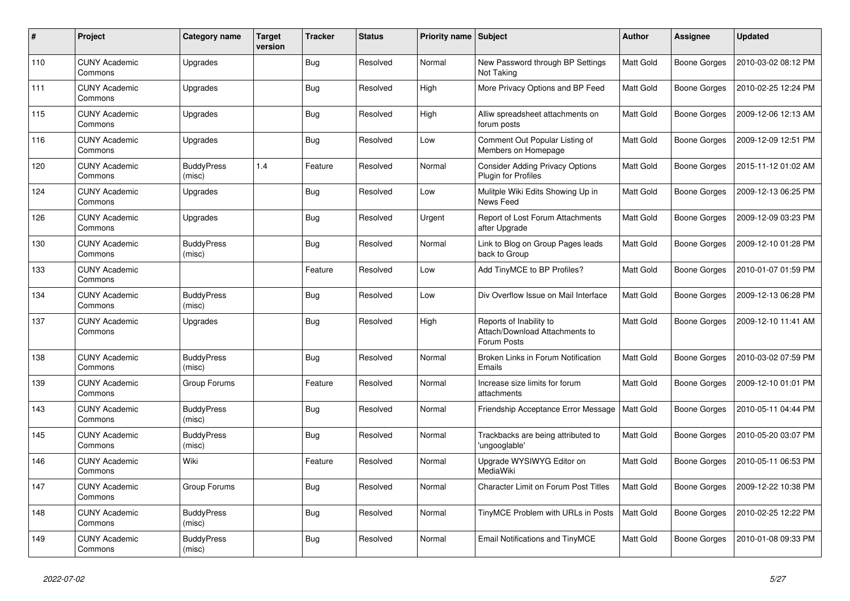| #   | Project                         | Category name               | <b>Target</b><br>version | <b>Tracker</b> | <b>Status</b> | <b>Priority name   Subject</b> |                                                                          | <b>Author</b>    | Assignee            | <b>Updated</b>      |
|-----|---------------------------------|-----------------------------|--------------------------|----------------|---------------|--------------------------------|--------------------------------------------------------------------------|------------------|---------------------|---------------------|
| 110 | <b>CUNY Academic</b><br>Commons | Upgrades                    |                          | <b>Bug</b>     | Resolved      | Normal                         | New Password through BP Settings<br>Not Taking                           | <b>Matt Gold</b> | Boone Gorges        | 2010-03-02 08:12 PM |
| 111 | <b>CUNY Academic</b><br>Commons | Upgrades                    |                          | <b>Bug</b>     | Resolved      | High                           | More Privacy Options and BP Feed                                         | Matt Gold        | Boone Gorges        | 2010-02-25 12:24 PM |
| 115 | <b>CUNY Academic</b><br>Commons | Upgrades                    |                          | Bug            | Resolved      | High                           | Alliw spreadsheet attachments on<br>forum posts                          | Matt Gold        | Boone Gorges        | 2009-12-06 12:13 AM |
| 116 | <b>CUNY Academic</b><br>Commons | Upgrades                    |                          | <b>Bug</b>     | Resolved      | Low                            | Comment Out Popular Listing of<br>Members on Homepage                    | <b>Matt Gold</b> | Boone Gorges        | 2009-12-09 12:51 PM |
| 120 | <b>CUNY Academic</b><br>Commons | <b>BuddyPress</b><br>(misc) | 1.4                      | Feature        | Resolved      | Normal                         | <b>Consider Adding Privacy Options</b><br>Plugin for Profiles            | Matt Gold        | Boone Gorges        | 2015-11-12 01:02 AM |
| 124 | <b>CUNY Academic</b><br>Commons | Upgrades                    |                          | <b>Bug</b>     | Resolved      | Low                            | Mulitple Wiki Edits Showing Up in<br>News Feed                           | Matt Gold        | Boone Gorges        | 2009-12-13 06:25 PM |
| 126 | <b>CUNY Academic</b><br>Commons | Upgrades                    |                          | Bug            | Resolved      | Urgent                         | Report of Lost Forum Attachments<br>after Upgrade                        | Matt Gold        | Boone Gorges        | 2009-12-09 03:23 PM |
| 130 | <b>CUNY Academic</b><br>Commons | <b>BuddyPress</b><br>(misc) |                          | <b>Bug</b>     | Resolved      | Normal                         | Link to Blog on Group Pages leads<br>back to Group                       | Matt Gold        | Boone Gorges        | 2009-12-10 01:28 PM |
| 133 | <b>CUNY Academic</b><br>Commons |                             |                          | Feature        | Resolved      | Low                            | Add TinyMCE to BP Profiles?                                              | Matt Gold        | Boone Gorges        | 2010-01-07 01:59 PM |
| 134 | <b>CUNY Academic</b><br>Commons | <b>BuddyPress</b><br>(misc) |                          | Bug            | Resolved      | Low                            | Div Overflow Issue on Mail Interface                                     | <b>Matt Gold</b> | Boone Gorges        | 2009-12-13 06:28 PM |
| 137 | <b>CUNY Academic</b><br>Commons | Upgrades                    |                          | Bug            | Resolved      | High                           | Reports of Inability to<br>Attach/Download Attachments to<br>Forum Posts | Matt Gold        | Boone Gorges        | 2009-12-10 11:41 AM |
| 138 | <b>CUNY Academic</b><br>Commons | <b>BuddyPress</b><br>(misc) |                          | <b>Bug</b>     | Resolved      | Normal                         | Broken Links in Forum Notification<br>Emails                             | <b>Matt Gold</b> | Boone Gorges        | 2010-03-02 07:59 PM |
| 139 | <b>CUNY Academic</b><br>Commons | Group Forums                |                          | Feature        | Resolved      | Normal                         | Increase size limits for forum<br>attachments                            | Matt Gold        | <b>Boone Gorges</b> | 2009-12-10 01:01 PM |
| 143 | <b>CUNY Academic</b><br>Commons | <b>BuddyPress</b><br>(misc) |                          | <b>Bug</b>     | Resolved      | Normal                         | Friendship Acceptance Error Message                                      | <b>Matt Gold</b> | Boone Gorges        | 2010-05-11 04:44 PM |
| 145 | <b>CUNY Academic</b><br>Commons | <b>BuddyPress</b><br>(misc) |                          | <b>Bug</b>     | Resolved      | Normal                         | Trackbacks are being attributed to<br>'ungooglable'                      | Matt Gold        | Boone Gorges        | 2010-05-20 03:07 PM |
| 146 | <b>CUNY Academic</b><br>Commons | Wiki                        |                          | Feature        | Resolved      | Normal                         | Upgrade WYSIWYG Editor on<br>MediaWiki                                   | Matt Gold        | Boone Gorges        | 2010-05-11 06:53 PM |
| 147 | <b>CUNY Academic</b><br>Commons | Group Forums                |                          | Bug            | Resolved      | Normal                         | <b>Character Limit on Forum Post Titles</b>                              | Matt Gold        | Boone Gorges        | 2009-12-22 10:38 PM |
| 148 | <b>CUNY Academic</b><br>Commons | <b>BuddyPress</b><br>(misc) |                          | <b>Bug</b>     | Resolved      | Normal                         | TinyMCE Problem with URLs in Posts                                       | Matt Gold        | Boone Gorges        | 2010-02-25 12:22 PM |
| 149 | <b>CUNY Academic</b><br>Commons | <b>BuddyPress</b><br>(misc) |                          | <b>Bug</b>     | Resolved      | Normal                         | <b>Email Notifications and TinyMCE</b>                                   | Matt Gold        | Boone Gorges        | 2010-01-08 09:33 PM |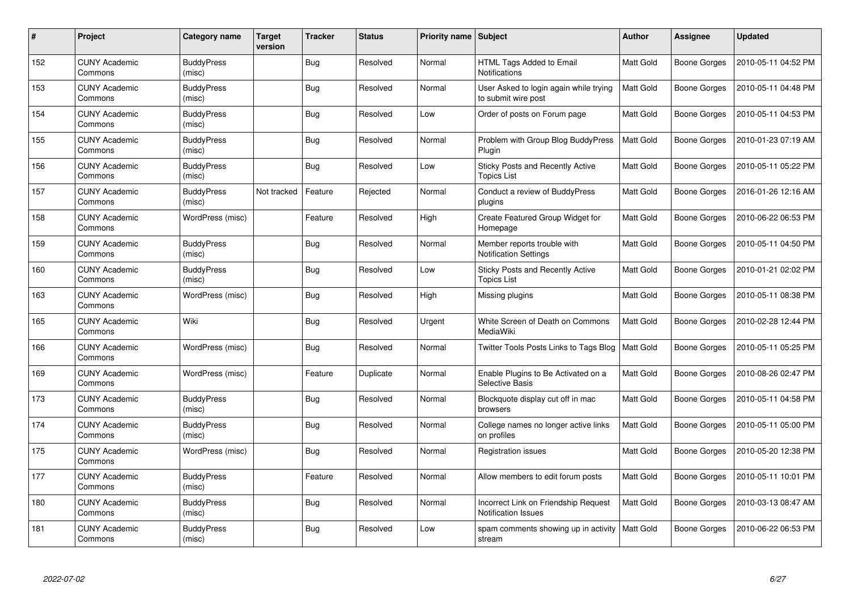| $\#$ | Project                         | Category name               | Target<br>version | Tracker    | <b>Status</b> | <b>Priority name Subject</b> |                                                                    | Author           | <b>Assignee</b> | <b>Updated</b>      |
|------|---------------------------------|-----------------------------|-------------------|------------|---------------|------------------------------|--------------------------------------------------------------------|------------------|-----------------|---------------------|
| 152  | <b>CUNY Academic</b><br>Commons | <b>BuddyPress</b><br>(misc) |                   | <b>Bug</b> | Resolved      | Normal                       | HTML Tags Added to Email<br>Notifications                          | Matt Gold        | Boone Gorges    | 2010-05-11 04:52 PM |
| 153  | <b>CUNY Academic</b><br>Commons | <b>BuddyPress</b><br>(misc) |                   | <b>Bug</b> | Resolved      | Normal                       | User Asked to login again while trying<br>to submit wire post      | Matt Gold        | Boone Gorges    | 2010-05-11 04:48 PM |
| 154  | <b>CUNY Academic</b><br>Commons | <b>BuddyPress</b><br>(misc) |                   | Bug        | Resolved      | Low                          | Order of posts on Forum page                                       | Matt Gold        | Boone Gorges    | 2010-05-11 04:53 PM |
| 155  | <b>CUNY Academic</b><br>Commons | <b>BuddyPress</b><br>(misc) |                   | Bug        | Resolved      | Normal                       | Problem with Group Blog BuddyPress<br>Plugin                       | Matt Gold        | Boone Gorges    | 2010-01-23 07:19 AM |
| 156  | <b>CUNY Academic</b><br>Commons | <b>BuddyPress</b><br>(misc) |                   | <b>Bug</b> | Resolved      | Low                          | Sticky Posts and Recently Active<br><b>Topics List</b>             | Matt Gold        | Boone Gorges    | 2010-05-11 05:22 PM |
| 157  | <b>CUNY Academic</b><br>Commons | <b>BuddyPress</b><br>(misc) | Not tracked       | Feature    | Rejected      | Normal                       | Conduct a review of BuddyPress<br>plugins                          | Matt Gold        | Boone Gorges    | 2016-01-26 12:16 AM |
| 158  | <b>CUNY Academic</b><br>Commons | WordPress (misc)            |                   | Feature    | Resolved      | High                         | Create Featured Group Widget for<br>Homepage                       | Matt Gold        | Boone Gorges    | 2010-06-22 06:53 PM |
| 159  | <b>CUNY Academic</b><br>Commons | <b>BuddyPress</b><br>(misc) |                   | Bug        | Resolved      | Normal                       | Member reports trouble with<br><b>Notification Settings</b>        | Matt Gold        | Boone Gorges    | 2010-05-11 04:50 PM |
| 160  | <b>CUNY Academic</b><br>Commons | <b>BuddyPress</b><br>(misc) |                   | <b>Bug</b> | Resolved      | Low                          | Sticky Posts and Recently Active<br><b>Topics List</b>             | <b>Matt Gold</b> | Boone Gorges    | 2010-01-21 02:02 PM |
| 163  | <b>CUNY Academic</b><br>Commons | WordPress (misc)            |                   | <b>Bug</b> | Resolved      | High                         | Missing plugins                                                    | Matt Gold        | Boone Gorges    | 2010-05-11 08:38 PM |
| 165  | <b>CUNY Academic</b><br>Commons | Wiki                        |                   | Bug        | Resolved      | Urgent                       | White Screen of Death on Commons<br>MediaWiki                      | Matt Gold        | Boone Gorges    | 2010-02-28 12:44 PM |
| 166  | <b>CUNY Academic</b><br>Commons | WordPress (misc)            |                   | Bug        | Resolved      | Normal                       | Twitter Tools Posts Links to Tags Blog                             | <b>Matt Gold</b> | Boone Gorges    | 2010-05-11 05:25 PM |
| 169  | <b>CUNY Academic</b><br>Commons | WordPress (misc)            |                   | Feature    | Duplicate     | Normal                       | Enable Plugins to Be Activated on a<br><b>Selective Basis</b>      | <b>Matt Gold</b> | Boone Gorges    | 2010-08-26 02:47 PM |
| 173  | <b>CUNY Academic</b><br>Commons | <b>BuddyPress</b><br>(misc) |                   | <b>Bug</b> | Resolved      | Normal                       | Blockquote display cut off in mac<br>browsers                      | Matt Gold        | Boone Gorges    | 2010-05-11 04:58 PM |
| 174  | <b>CUNY Academic</b><br>Commons | <b>BuddyPress</b><br>(misc) |                   | Bug        | Resolved      | Normal                       | College names no longer active links<br>on profiles                | Matt Gold        | Boone Gorges    | 2010-05-11 05:00 PM |
| 175  | <b>CUNY Academic</b><br>Commons | WordPress (misc)            |                   | Bug        | Resolved      | Normal                       | <b>Registration issues</b>                                         | Matt Gold        | Boone Gorges    | 2010-05-20 12:38 PM |
| 177  | <b>CUNY Academic</b><br>Commons | <b>BuddyPress</b><br>(misc) |                   | Feature    | Resolved      | Normal                       | Allow members to edit forum posts                                  | Matt Gold        | Boone Gorges    | 2010-05-11 10:01 PM |
| 180  | <b>CUNY Academic</b><br>Commons | <b>BuddyPress</b><br>(misc) |                   | <b>Bug</b> | Resolved      | Normal                       | Incorrect Link on Friendship Request<br><b>Notification Issues</b> | Matt Gold        | Boone Gorges    | 2010-03-13 08:47 AM |
| 181  | <b>CUNY Academic</b><br>Commons | <b>BuddyPress</b><br>(misc) |                   | <b>Bug</b> | Resolved      | Low                          | spam comments showing up in activity<br>stream                     | Matt Gold        | Boone Gorges    | 2010-06-22 06:53 PM |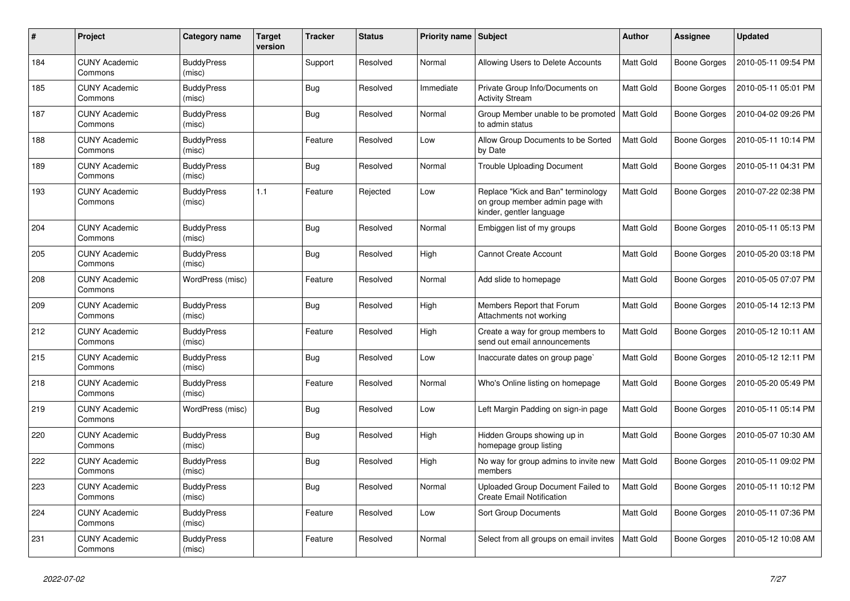| #   | Project                         | Category name               | Target<br>version | <b>Tracker</b> | <b>Status</b> | Priority name   Subject |                                                                                                   | <b>Author</b>    | <b>Assignee</b> | <b>Updated</b>      |
|-----|---------------------------------|-----------------------------|-------------------|----------------|---------------|-------------------------|---------------------------------------------------------------------------------------------------|------------------|-----------------|---------------------|
| 184 | <b>CUNY Academic</b><br>Commons | <b>BuddyPress</b><br>(misc) |                   | Support        | Resolved      | Normal                  | Allowing Users to Delete Accounts                                                                 | Matt Gold        | Boone Gorges    | 2010-05-11 09:54 PM |
| 185 | <b>CUNY Academic</b><br>Commons | <b>BuddyPress</b><br>(misc) |                   | <b>Bug</b>     | Resolved      | Immediate               | Private Group Info/Documents on<br><b>Activity Stream</b>                                         | Matt Gold        | Boone Gorges    | 2010-05-11 05:01 PM |
| 187 | <b>CUNY Academic</b><br>Commons | <b>BuddyPress</b><br>(misc) |                   | Bug            | Resolved      | Normal                  | Group Member unable to be promoted<br>to admin status                                             | <b>Matt Gold</b> | Boone Gorges    | 2010-04-02 09:26 PM |
| 188 | <b>CUNY Academic</b><br>Commons | <b>BuddyPress</b><br>(misc) |                   | Feature        | Resolved      | Low                     | Allow Group Documents to be Sorted<br>by Date                                                     | <b>Matt Gold</b> | Boone Gorges    | 2010-05-11 10:14 PM |
| 189 | <b>CUNY Academic</b><br>Commons | <b>BuddyPress</b><br>(misc) |                   | <b>Bug</b>     | Resolved      | Normal                  | <b>Trouble Uploading Document</b>                                                                 | Matt Gold        | Boone Gorges    | 2010-05-11 04:31 PM |
| 193 | <b>CUNY Academic</b><br>Commons | <b>BuddyPress</b><br>(misc) | 1.1               | Feature        | Rejected      | Low                     | Replace "Kick and Ban" terminology<br>on group member admin page with<br>kinder, gentler language | Matt Gold        | Boone Gorges    | 2010-07-22 02:38 PM |
| 204 | <b>CUNY Academic</b><br>Commons | <b>BuddyPress</b><br>(misc) |                   | <b>Bug</b>     | Resolved      | Normal                  | Embiggen list of my groups                                                                        | Matt Gold        | Boone Gorges    | 2010-05-11 05:13 PM |
| 205 | <b>CUNY Academic</b><br>Commons | <b>BuddyPress</b><br>(misc) |                   | <b>Bug</b>     | Resolved      | High                    | <b>Cannot Create Account</b>                                                                      | Matt Gold        | Boone Gorges    | 2010-05-20 03:18 PM |
| 208 | <b>CUNY Academic</b><br>Commons | WordPress (misc)            |                   | Feature        | Resolved      | Normal                  | Add slide to homepage                                                                             | Matt Gold        | Boone Gorges    | 2010-05-05 07:07 PM |
| 209 | <b>CUNY Academic</b><br>Commons | <b>BuddyPress</b><br>(misc) |                   | <b>Bug</b>     | Resolved      | High                    | Members Report that Forum<br>Attachments not working                                              | Matt Gold        | Boone Gorges    | 2010-05-14 12:13 PM |
| 212 | <b>CUNY Academic</b><br>Commons | <b>BuddyPress</b><br>(misc) |                   | Feature        | Resolved      | High                    | Create a way for group members to<br>send out email announcements                                 | Matt Gold        | Boone Gorges    | 2010-05-12 10:11 AM |
| 215 | <b>CUNY Academic</b><br>Commons | <b>BuddyPress</b><br>(misc) |                   | <b>Bug</b>     | Resolved      | Low                     | Inaccurate dates on group page                                                                    | <b>Matt Gold</b> | Boone Gorges    | 2010-05-12 12:11 PM |
| 218 | <b>CUNY Academic</b><br>Commons | <b>BuddyPress</b><br>(misc) |                   | Feature        | Resolved      | Normal                  | Who's Online listing on homepage                                                                  | Matt Gold        | Boone Gorges    | 2010-05-20 05:49 PM |
| 219 | <b>CUNY Academic</b><br>Commons | WordPress (misc)            |                   | Bug            | Resolved      | Low                     | Left Margin Padding on sign-in page                                                               | Matt Gold        | Boone Gorges    | 2010-05-11 05:14 PM |
| 220 | <b>CUNY Academic</b><br>Commons | <b>BuddyPress</b><br>(misc) |                   | <b>Bug</b>     | Resolved      | High                    | Hidden Groups showing up in<br>homepage group listing                                             | <b>Matt Gold</b> | Boone Gorges    | 2010-05-07 10:30 AM |
| 222 | <b>CUNY Academic</b><br>Commons | <b>BuddyPress</b><br>(misc) |                   | <b>Bug</b>     | Resolved      | High                    | No way for group admins to invite new<br>members                                                  | Matt Gold        | Boone Gorges    | 2010-05-11 09:02 PM |
| 223 | <b>CUNY Academic</b><br>Commons | <b>BuddyPress</b><br>(misc) |                   | <b>Bug</b>     | Resolved      | Normal                  | Uploaded Group Document Failed to<br><b>Create Email Notification</b>                             | Matt Gold        | Boone Gorges    | 2010-05-11 10:12 PM |
| 224 | <b>CUNY Academic</b><br>Commons | <b>BuddyPress</b><br>(misc) |                   | Feature        | Resolved      | Low                     | Sort Group Documents                                                                              | <b>Matt Gold</b> | Boone Gorges    | 2010-05-11 07:36 PM |
| 231 | <b>CUNY Academic</b><br>Commons | <b>BuddyPress</b><br>(misc) |                   | Feature        | Resolved      | Normal                  | Select from all groups on email invites                                                           | Matt Gold        | Boone Gorges    | 2010-05-12 10:08 AM |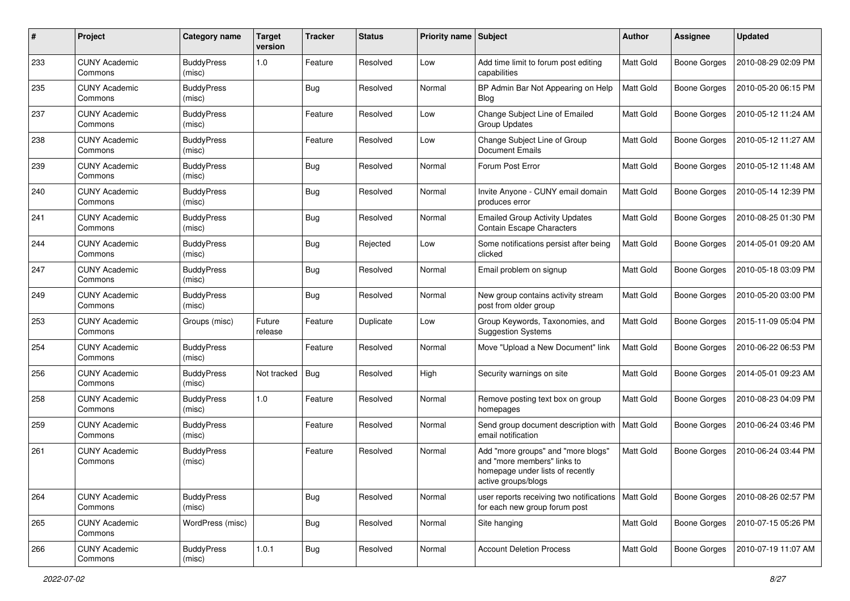| #   | Project                         | <b>Category name</b>        | <b>Target</b><br>version | <b>Tracker</b> | <b>Status</b> | Priority name Subject |                                                                                                                              | Author           | <b>Assignee</b>     | <b>Updated</b>      |
|-----|---------------------------------|-----------------------------|--------------------------|----------------|---------------|-----------------------|------------------------------------------------------------------------------------------------------------------------------|------------------|---------------------|---------------------|
| 233 | <b>CUNY Academic</b><br>Commons | <b>BuddyPress</b><br>(misc) | 1.0                      | Feature        | Resolved      | Low                   | Add time limit to forum post editing<br>capabilities                                                                         | Matt Gold        | <b>Boone Gorges</b> | 2010-08-29 02:09 PM |
| 235 | <b>CUNY Academic</b><br>Commons | <b>BuddyPress</b><br>(misc) |                          | <b>Bug</b>     | Resolved      | Normal                | BP Admin Bar Not Appearing on Help<br><b>Blog</b>                                                                            | <b>Matt Gold</b> | Boone Gorges        | 2010-05-20 06:15 PM |
| 237 | <b>CUNY Academic</b><br>Commons | <b>BuddyPress</b><br>(misc) |                          | Feature        | Resolved      | Low                   | Change Subject Line of Emailed<br><b>Group Updates</b>                                                                       | Matt Gold        | <b>Boone Gorges</b> | 2010-05-12 11:24 AM |
| 238 | <b>CUNY Academic</b><br>Commons | <b>BuddyPress</b><br>(misc) |                          | Feature        | Resolved      | Low                   | Change Subject Line of Group<br>Document Emails                                                                              | Matt Gold        | <b>Boone Gorges</b> | 2010-05-12 11:27 AM |
| 239 | <b>CUNY Academic</b><br>Commons | <b>BuddyPress</b><br>(misc) |                          | <b>Bug</b>     | Resolved      | Normal                | Forum Post Error                                                                                                             | Matt Gold        | <b>Boone Gorges</b> | 2010-05-12 11:48 AM |
| 240 | <b>CUNY Academic</b><br>Commons | <b>BuddyPress</b><br>(misc) |                          | <b>Bug</b>     | Resolved      | Normal                | Invite Anyone - CUNY email domain<br>produces error                                                                          | Matt Gold        | Boone Gorges        | 2010-05-14 12:39 PM |
| 241 | <b>CUNY Academic</b><br>Commons | <b>BuddyPress</b><br>(misc) |                          | <b>Bug</b>     | Resolved      | Normal                | <b>Emailed Group Activity Updates</b><br>Contain Escape Characters                                                           | Matt Gold        | <b>Boone Gorges</b> | 2010-08-25 01:30 PM |
| 244 | <b>CUNY Academic</b><br>Commons | <b>BuddyPress</b><br>(misc) |                          | <b>Bug</b>     | Rejected      | Low                   | Some notifications persist after being<br>clicked                                                                            | <b>Matt Gold</b> | Boone Gorges        | 2014-05-01 09:20 AM |
| 247 | <b>CUNY Academic</b><br>Commons | <b>BuddyPress</b><br>(misc) |                          | <b>Bug</b>     | Resolved      | Normal                | Email problem on signup                                                                                                      | Matt Gold        | Boone Gorges        | 2010-05-18 03:09 PM |
| 249 | <b>CUNY Academic</b><br>Commons | <b>BuddyPress</b><br>(misc) |                          | <b>Bug</b>     | Resolved      | Normal                | New group contains activity stream<br>post from older group                                                                  | Matt Gold        | Boone Gorges        | 2010-05-20 03:00 PM |
| 253 | <b>CUNY Academic</b><br>Commons | Groups (misc)               | Future<br>release        | Feature        | Duplicate     | Low                   | Group Keywords, Taxonomies, and<br><b>Suggestion Systems</b>                                                                 | <b>Matt Gold</b> | Boone Gorges        | 2015-11-09 05:04 PM |
| 254 | <b>CUNY Academic</b><br>Commons | <b>BuddyPress</b><br>(misc) |                          | Feature        | Resolved      | Normal                | Move "Upload a New Document" link                                                                                            | <b>Matt Gold</b> | Boone Gorges        | 2010-06-22 06:53 PM |
| 256 | <b>CUNY Academic</b><br>Commons | <b>BuddyPress</b><br>(misc) | Not tracked              | <b>Bug</b>     | Resolved      | High                  | Security warnings on site                                                                                                    | Matt Gold        | <b>Boone Gorges</b> | 2014-05-01 09:23 AM |
| 258 | <b>CUNY Academic</b><br>Commons | <b>BuddyPress</b><br>(misc) | 1.0                      | Feature        | Resolved      | Normal                | Remove posting text box on group<br>homepages                                                                                | Matt Gold        | Boone Gorges        | 2010-08-23 04:09 PM |
| 259 | <b>CUNY Academic</b><br>Commons | <b>BuddyPress</b><br>(misc) |                          | Feature        | Resolved      | Normal                | Send group document description with<br>email notification                                                                   | Matt Gold        | Boone Gorges        | 2010-06-24 03:46 PM |
| 261 | <b>CUNY Academic</b><br>Commons | <b>BuddyPress</b><br>(misc) |                          | Feature        | Resolved      | Normal                | Add "more groups" and "more blogs"<br>and "more members" links to<br>homepage under lists of recently<br>active groups/blogs | Matt Gold        | <b>Boone Gorges</b> | 2010-06-24 03:44 PM |
| 264 | <b>CUNY Academic</b><br>Commons | <b>BuddyPress</b><br>(misc) |                          | <b>Bug</b>     | Resolved      | Normal                | user reports receiving two notifications<br>for each new group forum post                                                    | <b>Matt Gold</b> | Boone Gorges        | 2010-08-26 02:57 PM |
| 265 | <b>CUNY Academic</b><br>Commons | WordPress (misc)            |                          | <b>Bug</b>     | Resolved      | Normal                | Site hanging                                                                                                                 | Matt Gold        | <b>Boone Gorges</b> | 2010-07-15 05:26 PM |
| 266 | <b>CUNY Academic</b><br>Commons | <b>BuddyPress</b><br>(misc) | 1.0.1                    | <b>Bug</b>     | Resolved      | Normal                | <b>Account Deletion Process</b>                                                                                              | Matt Gold        | <b>Boone Gorges</b> | 2010-07-19 11:07 AM |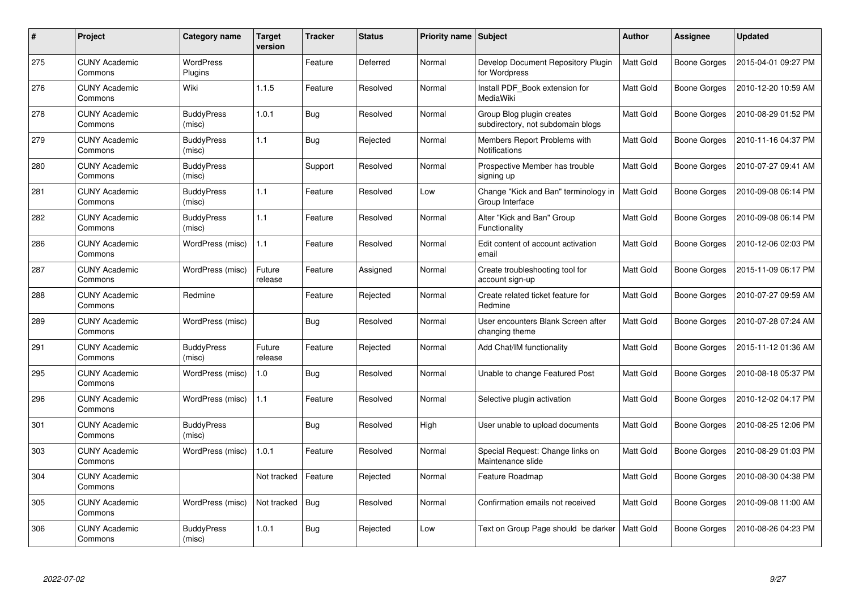| #   | Project                         | Category name               | <b>Target</b><br>version | Tracker    | <b>Status</b> | Priority name Subject |                                                                | Author           | <b>Assignee</b>     | <b>Updated</b>      |
|-----|---------------------------------|-----------------------------|--------------------------|------------|---------------|-----------------------|----------------------------------------------------------------|------------------|---------------------|---------------------|
| 275 | <b>CUNY Academic</b><br>Commons | <b>WordPress</b><br>Plugins |                          | Feature    | Deferred      | Normal                | Develop Document Repository Plugin<br>for Wordpress            | Matt Gold        | Boone Gorges        | 2015-04-01 09:27 PM |
| 276 | <b>CUNY Academic</b><br>Commons | Wiki                        | 1.1.5                    | Feature    | Resolved      | Normal                | Install PDF_Book extension for<br>MediaWiki                    | Matt Gold        | Boone Gorges        | 2010-12-20 10:59 AM |
| 278 | <b>CUNY Academic</b><br>Commons | <b>BuddyPress</b><br>(misc) | 1.0.1                    | <b>Bug</b> | Resolved      | Normal                | Group Blog plugin creates<br>subdirectory, not subdomain blogs | <b>Matt Gold</b> | Boone Gorges        | 2010-08-29 01:52 PM |
| 279 | <b>CUNY Academic</b><br>Commons | <b>BuddyPress</b><br>(misc) | 1.1                      | <b>Bug</b> | Rejected      | Normal                | Members Report Problems with<br>Notifications                  | Matt Gold        | Boone Gorges        | 2010-11-16 04:37 PM |
| 280 | <b>CUNY Academic</b><br>Commons | <b>BuddyPress</b><br>(misc) |                          | Support    | Resolved      | Normal                | Prospective Member has trouble<br>signing up                   | <b>Matt Gold</b> | Boone Gorges        | 2010-07-27 09:41 AM |
| 281 | <b>CUNY Academic</b><br>Commons | <b>BuddyPress</b><br>(misc) | 1.1                      | Feature    | Resolved      | Low                   | Change "Kick and Ban" terminology in<br>Group Interface        | <b>Matt Gold</b> | Boone Gorges        | 2010-09-08 06:14 PM |
| 282 | <b>CUNY Academic</b><br>Commons | <b>BuddyPress</b><br>(misc) | 1.1                      | Feature    | Resolved      | Normal                | Alter "Kick and Ban" Group<br>Functionality                    | Matt Gold        | <b>Boone Gorges</b> | 2010-09-08 06:14 PM |
| 286 | <b>CUNY Academic</b><br>Commons | WordPress (misc)            | 1.1                      | Feature    | Resolved      | Normal                | Edit content of account activation<br>email                    | Matt Gold        | Boone Gorges        | 2010-12-06 02:03 PM |
| 287 | <b>CUNY Academic</b><br>Commons | WordPress (misc)            | Future<br>release        | Feature    | Assigned      | Normal                | Create troubleshooting tool for<br>account sign-up             | Matt Gold        | <b>Boone Gorges</b> | 2015-11-09 06:17 PM |
| 288 | <b>CUNY Academic</b><br>Commons | Redmine                     |                          | Feature    | Rejected      | Normal                | Create related ticket feature for<br>Redmine                   | <b>Matt Gold</b> | Boone Gorges        | 2010-07-27 09:59 AM |
| 289 | <b>CUNY Academic</b><br>Commons | WordPress (misc)            |                          | <b>Bug</b> | Resolved      | Normal                | User encounters Blank Screen after<br>changing theme           | <b>Matt Gold</b> | Boone Gorges        | 2010-07-28 07:24 AM |
| 291 | <b>CUNY Academic</b><br>Commons | <b>BuddyPress</b><br>(misc) | Future<br>release        | Feature    | Rejected      | Normal                | Add Chat/IM functionality                                      | Matt Gold        | Boone Gorges        | 2015-11-12 01:36 AM |
| 295 | <b>CUNY Academic</b><br>Commons | WordPress (misc)            | 1.0                      | Bug        | Resolved      | Normal                | Unable to change Featured Post                                 | <b>Matt Gold</b> | Boone Gorges        | 2010-08-18 05:37 PM |
| 296 | <b>CUNY Academic</b><br>Commons | WordPress (misc)            | 1.1                      | Feature    | Resolved      | Normal                | Selective plugin activation                                    | Matt Gold        | Boone Gorges        | 2010-12-02 04:17 PM |
| 301 | <b>CUNY Academic</b><br>Commons | <b>BuddyPress</b><br>(misc) |                          | <b>Bug</b> | Resolved      | High                  | User unable to upload documents                                | Matt Gold        | Boone Gorges        | 2010-08-25 12:06 PM |
| 303 | <b>CUNY Academic</b><br>Commons | WordPress (misc)            | 1.0.1                    | Feature    | Resolved      | Normal                | Special Request: Change links on<br>Maintenance slide          | Matt Gold        | Boone Gorges        | 2010-08-29 01:03 PM |
| 304 | <b>CUNY Academic</b><br>Commons |                             | Not tracked              | Feature    | Rejected      | Normal                | Feature Roadmap                                                | <b>Matt Gold</b> | Boone Gorges        | 2010-08-30 04:38 PM |
| 305 | <b>CUNY Academic</b><br>Commons | WordPress (misc)            | Not tracked              | Bug        | Resolved      | Normal                | Confirmation emails not received                               | Matt Gold        | Boone Gorges        | 2010-09-08 11:00 AM |
| 306 | <b>CUNY Academic</b><br>Commons | <b>BuddyPress</b><br>(misc) | 1.0.1                    | <b>Bug</b> | Rejected      | Low                   | Text on Group Page should be darker                            | Matt Gold        | <b>Boone Gorges</b> | 2010-08-26 04:23 PM |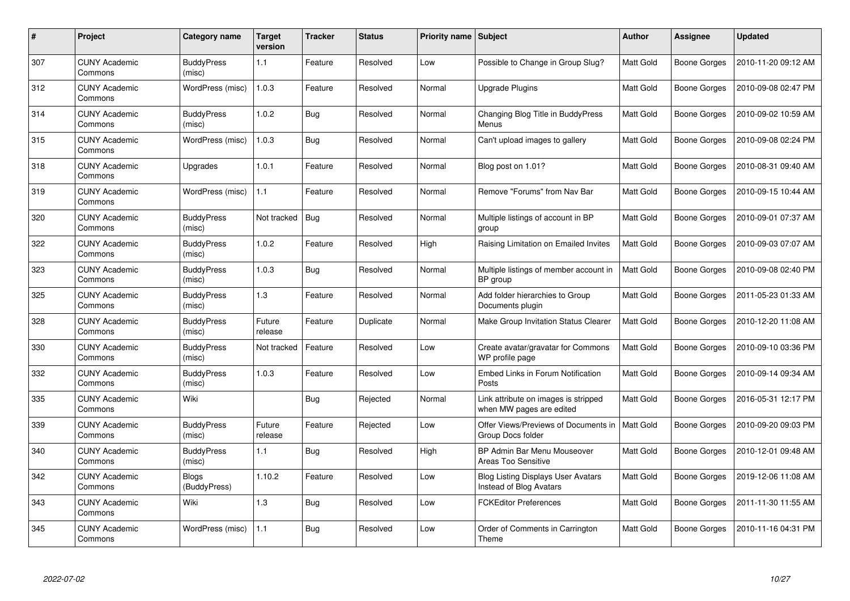| #   | Project                         | Category name                | Target<br>version | <b>Tracker</b> | <b>Status</b> | <b>Priority name   Subject</b> |                                                                      | <b>Author</b>    | <b>Assignee</b> | <b>Updated</b>      |
|-----|---------------------------------|------------------------------|-------------------|----------------|---------------|--------------------------------|----------------------------------------------------------------------|------------------|-----------------|---------------------|
| 307 | <b>CUNY Academic</b><br>Commons | <b>BuddyPress</b><br>(misc)  | 1.1               | Feature        | Resolved      | Low                            | Possible to Change in Group Slug?                                    | <b>Matt Gold</b> | Boone Gorges    | 2010-11-20 09:12 AM |
| 312 | <b>CUNY Academic</b><br>Commons | WordPress (misc)             | 1.0.3             | Feature        | Resolved      | Normal                         | Upgrade Plugins                                                      | <b>Matt Gold</b> | Boone Gorges    | 2010-09-08 02:47 PM |
| 314 | <b>CUNY Academic</b><br>Commons | <b>BuddyPress</b><br>(misc)  | 1.0.2             | <b>Bug</b>     | Resolved      | Normal                         | Changing Blog Title in BuddyPress<br>Menus                           | <b>Matt Gold</b> | Boone Gorges    | 2010-09-02 10:59 AM |
| 315 | <b>CUNY Academic</b><br>Commons | WordPress (misc)             | 1.0.3             | <b>Bug</b>     | Resolved      | Normal                         | Can't upload images to gallery                                       | Matt Gold        | Boone Gorges    | 2010-09-08 02:24 PM |
| 318 | <b>CUNY Academic</b><br>Commons | Upgrades                     | 1.0.1             | Feature        | Resolved      | Normal                         | Blog post on 1.01?                                                   | Matt Gold        | Boone Gorges    | 2010-08-31 09:40 AM |
| 319 | <b>CUNY Academic</b><br>Commons | WordPress (misc)             | 1.1               | Feature        | Resolved      | Normal                         | Remove "Forums" from Nav Bar                                         | <b>Matt Gold</b> | Boone Gorges    | 2010-09-15 10:44 AM |
| 320 | <b>CUNY Academic</b><br>Commons | <b>BuddyPress</b><br>(misc)  | Not tracked       | <b>Bug</b>     | Resolved      | Normal                         | Multiple listings of account in BP<br>group                          | <b>Matt Gold</b> | Boone Gorges    | 2010-09-01 07:37 AM |
| 322 | <b>CUNY Academic</b><br>Commons | <b>BuddyPress</b><br>(misc)  | 1.0.2             | Feature        | Resolved      | High                           | Raising Limitation on Emailed Invites                                | Matt Gold        | Boone Gorges    | 2010-09-03 07:07 AM |
| 323 | <b>CUNY Academic</b><br>Commons | <b>BuddyPress</b><br>(misc)  | 1.0.3             | <b>Bug</b>     | Resolved      | Normal                         | Multiple listings of member account in<br>BP group                   | <b>Matt Gold</b> | Boone Gorges    | 2010-09-08 02:40 PM |
| 325 | <b>CUNY Academic</b><br>Commons | <b>BuddyPress</b><br>(misc)  | 1.3               | Feature        | Resolved      | Normal                         | Add folder hierarchies to Group<br>Documents plugin                  | <b>Matt Gold</b> | Boone Gorges    | 2011-05-23 01:33 AM |
| 328 | <b>CUNY Academic</b><br>Commons | <b>BuddyPress</b><br>(misc)  | Future<br>release | Feature        | Duplicate     | Normal                         | Make Group Invitation Status Clearer                                 | Matt Gold        | Boone Gorges    | 2010-12-20 11:08 AM |
| 330 | <b>CUNY Academic</b><br>Commons | <b>BuddyPress</b><br>(misc)  | Not tracked       | Feature        | Resolved      | Low                            | Create avatar/gravatar for Commons<br>WP profile page                | Matt Gold        | Boone Gorges    | 2010-09-10 03:36 PM |
| 332 | <b>CUNY Academic</b><br>Commons | <b>BuddyPress</b><br>(misc)  | 1.0.3             | Feature        | Resolved      | Low                            | Embed Links in Forum Notification<br>Posts                           | Matt Gold        | Boone Gorges    | 2010-09-14 09:34 AM |
| 335 | <b>CUNY Academic</b><br>Commons | Wiki                         |                   | Bug            | Rejected      | Normal                         | Link attribute on images is stripped<br>when MW pages are edited     | Matt Gold        | Boone Gorges    | 2016-05-31 12:17 PM |
| 339 | <b>CUNY Academic</b><br>Commons | <b>BuddyPress</b><br>(misc)  | Future<br>release | Feature        | Rejected      | Low                            | Offer Views/Previews of Documents in<br>Group Docs folder            | Matt Gold        | Boone Gorges    | 2010-09-20 09:03 PM |
| 340 | <b>CUNY Academic</b><br>Commons | <b>BuddyPress</b><br>(misc)  | 1.1               | <b>Bug</b>     | Resolved      | High                           | BP Admin Bar Menu Mouseover<br>Areas Too Sensitive                   | Matt Gold        | Boone Gorges    | 2010-12-01 09:48 AM |
| 342 | <b>CUNY Academic</b><br>Commons | <b>Blogs</b><br>(BuddyPress) | 1.10.2            | Feature        | Resolved      | Low                            | <b>Blog Listing Displays User Avatars</b><br>Instead of Blog Avatars | Matt Gold        | Boone Gorges    | 2019-12-06 11:08 AM |
| 343 | <b>CUNY Academic</b><br>Commons | Wiki                         | 1.3               | <b>Bug</b>     | Resolved      | Low                            | <b>FCKEditor Preferences</b>                                         | Matt Gold        | Boone Gorges    | 2011-11-30 11:55 AM |
| 345 | <b>CUNY Academic</b><br>Commons | WordPress (misc)             | 1.1               | <b>Bug</b>     | Resolved      | Low                            | Order of Comments in Carrington<br>Theme                             | <b>Matt Gold</b> | Boone Gorges    | 2010-11-16 04:31 PM |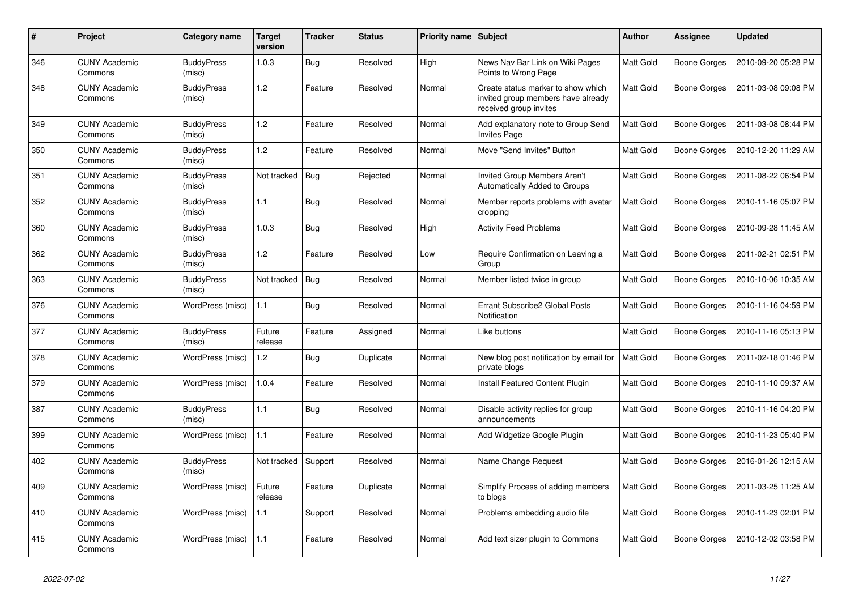| #   | Project                         | Category name               | Target<br>version | <b>Tracker</b> | <b>Status</b> | Priority name   Subject |                                                                                                    | <b>Author</b>    | <b>Assignee</b>     | <b>Updated</b>      |
|-----|---------------------------------|-----------------------------|-------------------|----------------|---------------|-------------------------|----------------------------------------------------------------------------------------------------|------------------|---------------------|---------------------|
| 346 | <b>CUNY Academic</b><br>Commons | <b>BuddyPress</b><br>(misc) | 1.0.3             | Bug            | Resolved      | High                    | News Nav Bar Link on Wiki Pages<br>Points to Wrong Page                                            | Matt Gold        | Boone Gorges        | 2010-09-20 05:28 PM |
| 348 | <b>CUNY Academic</b><br>Commons | <b>BuddyPress</b><br>(misc) | 1.2               | Feature        | Resolved      | Normal                  | Create status marker to show which<br>invited group members have already<br>received group invites | Matt Gold        | <b>Boone Gorges</b> | 2011-03-08 09:08 PM |
| 349 | <b>CUNY Academic</b><br>Commons | <b>BuddyPress</b><br>(misc) | 1.2               | Feature        | Resolved      | Normal                  | Add explanatory note to Group Send<br><b>Invites Page</b>                                          | <b>Matt Gold</b> | Boone Gorges        | 2011-03-08 08:44 PM |
| 350 | <b>CUNY Academic</b><br>Commons | <b>BuddyPress</b><br>(misc) | 1.2               | Feature        | Resolved      | Normal                  | Move "Send Invites" Button                                                                         | Matt Gold        | Boone Gorges        | 2010-12-20 11:29 AM |
| 351 | <b>CUNY Academic</b><br>Commons | <b>BuddyPress</b><br>(misc) | Not tracked       | <b>Bug</b>     | Rejected      | Normal                  | <b>Invited Group Members Aren't</b><br><b>Automatically Added to Groups</b>                        | Matt Gold        | Boone Gorges        | 2011-08-22 06:54 PM |
| 352 | <b>CUNY Academic</b><br>Commons | <b>BuddyPress</b><br>(misc) | 1.1               | Bug            | Resolved      | Normal                  | Member reports problems with avatar<br>cropping                                                    | <b>Matt Gold</b> | Boone Gorges        | 2010-11-16 05:07 PM |
| 360 | <b>CUNY Academic</b><br>Commons | <b>BuddyPress</b><br>(misc) | 1.0.3             | <b>Bug</b>     | Resolved      | High                    | <b>Activity Feed Problems</b>                                                                      | <b>Matt Gold</b> | Boone Gorges        | 2010-09-28 11:45 AM |
| 362 | <b>CUNY Academic</b><br>Commons | <b>BuddyPress</b><br>(misc) | 1.2               | Feature        | Resolved      | Low                     | Require Confirmation on Leaving a<br>Group                                                         | Matt Gold        | Boone Gorges        | 2011-02-21 02:51 PM |
| 363 | <b>CUNY Academic</b><br>Commons | <b>BuddyPress</b><br>(misc) | Not tracked       | <b>Bug</b>     | Resolved      | Normal                  | Member listed twice in group                                                                       | Matt Gold        | Boone Gorges        | 2010-10-06 10:35 AM |
| 376 | <b>CUNY Academic</b><br>Commons | WordPress (misc)            | 1.1               | <b>Bug</b>     | Resolved      | Normal                  | Errant Subscribe2 Global Posts<br>Notification                                                     | Matt Gold        | Boone Gorges        | 2010-11-16 04:59 PM |
| 377 | <b>CUNY Academic</b><br>Commons | <b>BuddyPress</b><br>(misc) | Future<br>release | Feature        | Assigned      | Normal                  | Like buttons                                                                                       | Matt Gold        | Boone Gorges        | 2010-11-16 05:13 PM |
| 378 | <b>CUNY Academic</b><br>Commons | WordPress (misc)            | 1.2               | Bug            | Duplicate     | Normal                  | New blog post notification by email for<br>private blogs                                           | <b>Matt Gold</b> | Boone Gorges        | 2011-02-18 01:46 PM |
| 379 | <b>CUNY Academic</b><br>Commons | WordPress (misc)            | 1.0.4             | Feature        | Resolved      | Normal                  | Install Featured Content Plugin                                                                    | Matt Gold        | Boone Gorges        | 2010-11-10 09:37 AM |
| 387 | <b>CUNY Academic</b><br>Commons | <b>BuddyPress</b><br>(misc) | 1.1               | Bug            | Resolved      | Normal                  | Disable activity replies for group<br>announcements                                                | Matt Gold        | Boone Gorges        | 2010-11-16 04:20 PM |
| 399 | <b>CUNY Academic</b><br>Commons | WordPress (misc)            | 1.1               | Feature        | Resolved      | Normal                  | Add Widgetize Google Plugin                                                                        | <b>Matt Gold</b> | Boone Gorges        | 2010-11-23 05:40 PM |
| 402 | <b>CUNY Academic</b><br>Commons | <b>BuddyPress</b><br>(misc) | Not tracked       | Support        | Resolved      | Normal                  | Name Change Request                                                                                | Matt Gold        | Boone Gorges        | 2016-01-26 12:15 AM |
| 409 | <b>CUNY Academic</b><br>Commons | WordPress (misc)            | Future<br>release | Feature        | Duplicate     | Normal                  | Simplify Process of adding members<br>to blogs                                                     | <b>Matt Gold</b> | Boone Gorges        | 2011-03-25 11:25 AM |
| 410 | <b>CUNY Academic</b><br>Commons | WordPress (misc)            | 1.1               | Support        | Resolved      | Normal                  | Problems embedding audio file                                                                      | <b>Matt Gold</b> | Boone Gorges        | 2010-11-23 02:01 PM |
| 415 | <b>CUNY Academic</b><br>Commons | WordPress (misc)            | 1.1               | Feature        | Resolved      | Normal                  | Add text sizer plugin to Commons                                                                   | Matt Gold        | Boone Gorges        | 2010-12-02 03:58 PM |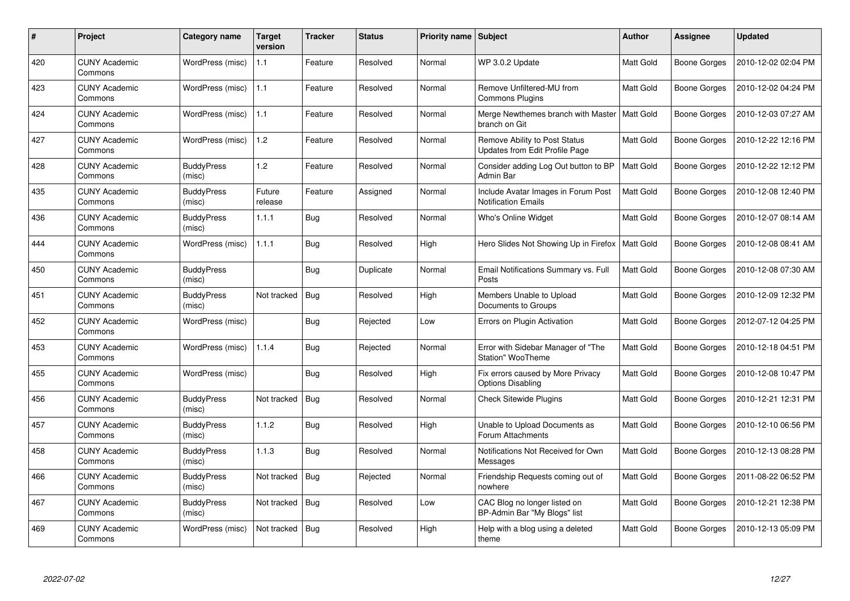| #   | Project                         | Category name               | <b>Target</b><br>version | <b>Tracker</b> | <b>Status</b> | Priority name Subject |                                                                   | Author           | <b>Assignee</b>     | <b>Updated</b>      |
|-----|---------------------------------|-----------------------------|--------------------------|----------------|---------------|-----------------------|-------------------------------------------------------------------|------------------|---------------------|---------------------|
| 420 | <b>CUNY Academic</b><br>Commons | WordPress (misc)            | 1.1                      | Feature        | Resolved      | Normal                | WP 3.0.2 Update                                                   | <b>Matt Gold</b> | Boone Gorges        | 2010-12-02 02:04 PM |
| 423 | <b>CUNY Academic</b><br>Commons | WordPress (misc)            | 1.1                      | Feature        | Resolved      | Normal                | Remove Unfiltered-MU from<br><b>Commons Plugins</b>               | Matt Gold        | Boone Gorges        | 2010-12-02 04:24 PM |
| 424 | <b>CUNY Academic</b><br>Commons | WordPress (misc)            | 1.1                      | Feature        | Resolved      | Normal                | Merge Newthemes branch with Master<br>branch on Git               | <b>Matt Gold</b> | Boone Gorges        | 2010-12-03 07:27 AM |
| 427 | <b>CUNY Academic</b><br>Commons | WordPress (misc)            | 1.2                      | Feature        | Resolved      | Normal                | Remove Ability to Post Status<br>Updates from Edit Profile Page   | Matt Gold        | Boone Gorges        | 2010-12-22 12:16 PM |
| 428 | <b>CUNY Academic</b><br>Commons | <b>BuddyPress</b><br>(misc) | 1.2                      | Feature        | Resolved      | Normal                | Consider adding Log Out button to BP<br>Admin Bar                 | <b>Matt Gold</b> | Boone Gorges        | 2010-12-22 12:12 PM |
| 435 | <b>CUNY Academic</b><br>Commons | <b>BuddyPress</b><br>(misc) | Future<br>release        | Feature        | Assigned      | Normal                | Include Avatar Images in Forum Post<br><b>Notification Emails</b> | Matt Gold        | Boone Gorges        | 2010-12-08 12:40 PM |
| 436 | <b>CUNY Academic</b><br>Commons | <b>BuddyPress</b><br>(misc) | 1.1.1                    | <b>Bug</b>     | Resolved      | Normal                | Who's Online Widget                                               | Matt Gold        | Boone Gorges        | 2010-12-07 08:14 AM |
| 444 | <b>CUNY Academic</b><br>Commons | WordPress (misc)            | 1.1.1                    | <b>Bug</b>     | Resolved      | High                  | Hero Slides Not Showing Up in Firefox                             | <b>Matt Gold</b> | Boone Gorges        | 2010-12-08 08:41 AM |
| 450 | <b>CUNY Academic</b><br>Commons | <b>BuddyPress</b><br>(misc) |                          | Bug            | Duplicate     | Normal                | Email Notifications Summary vs. Full<br>Posts                     | <b>Matt Gold</b> | Boone Gorges        | 2010-12-08 07:30 AM |
| 451 | <b>CUNY Academic</b><br>Commons | <b>BuddyPress</b><br>(misc) | Not tracked              | Bug            | Resolved      | High                  | Members Unable to Upload<br>Documents to Groups                   | Matt Gold        | <b>Boone Gorges</b> | 2010-12-09 12:32 PM |
| 452 | <b>CUNY Academic</b><br>Commons | WordPress (misc)            |                          | <b>Bug</b>     | Rejected      | Low                   | Errors on Plugin Activation                                       | Matt Gold        | Boone Gorges        | 2012-07-12 04:25 PM |
| 453 | <b>CUNY Academic</b><br>Commons | WordPress (misc)            | 1.1.4                    | <b>Bug</b>     | Rejected      | Normal                | Error with Sidebar Manager of "The<br><b>Station" WooTheme</b>    | <b>Matt Gold</b> | Boone Gorges        | 2010-12-18 04:51 PM |
| 455 | <b>CUNY Academic</b><br>Commons | WordPress (misc)            |                          | <b>Bug</b>     | Resolved      | High                  | Fix errors caused by More Privacy<br><b>Options Disabling</b>     | Matt Gold        | Boone Gorges        | 2010-12-08 10:47 PM |
| 456 | <b>CUNY Academic</b><br>Commons | <b>BuddyPress</b><br>(misc) | Not tracked              | Bug            | Resolved      | Normal                | <b>Check Sitewide Plugins</b>                                     | Matt Gold        | Boone Gorges        | 2010-12-21 12:31 PM |
| 457 | <b>CUNY Academic</b><br>Commons | <b>BuddyPress</b><br>(misc) | 1.1.2                    | <b>Bug</b>     | Resolved      | High                  | Unable to Upload Documents as<br>Forum Attachments                | <b>Matt Gold</b> | Boone Gorges        | 2010-12-10 06:56 PM |
| 458 | <b>CUNY Academic</b><br>Commons | <b>BuddyPress</b><br>(misc) | 1.1.3                    | <b>Bug</b>     | Resolved      | Normal                | Notifications Not Received for Own<br>Messages                    | <b>Matt Gold</b> | Boone Gorges        | 2010-12-13 08:28 PM |
| 466 | <b>CUNY Academic</b><br>Commons | <b>BuddyPress</b><br>(misc) | Not tracked              | Bug            | Rejected      | Normal                | Friendship Requests coming out of<br>nowhere                      | Matt Gold        | Boone Gorges        | 2011-08-22 06:52 PM |
| 467 | <b>CUNY Academic</b><br>Commons | <b>BuddyPress</b><br>(misc) | Not tracked              | <b>Bug</b>     | Resolved      | Low                   | CAC Blog no longer listed on<br>BP-Admin Bar "My Blogs" list      | Matt Gold        | <b>Boone Gorges</b> | 2010-12-21 12:38 PM |
| 469 | <b>CUNY Academic</b><br>Commons | WordPress (misc)            | Not tracked              | Bug            | Resolved      | High                  | Help with a blog using a deleted<br>theme                         | <b>Matt Gold</b> | <b>Boone Gorges</b> | 2010-12-13 05:09 PM |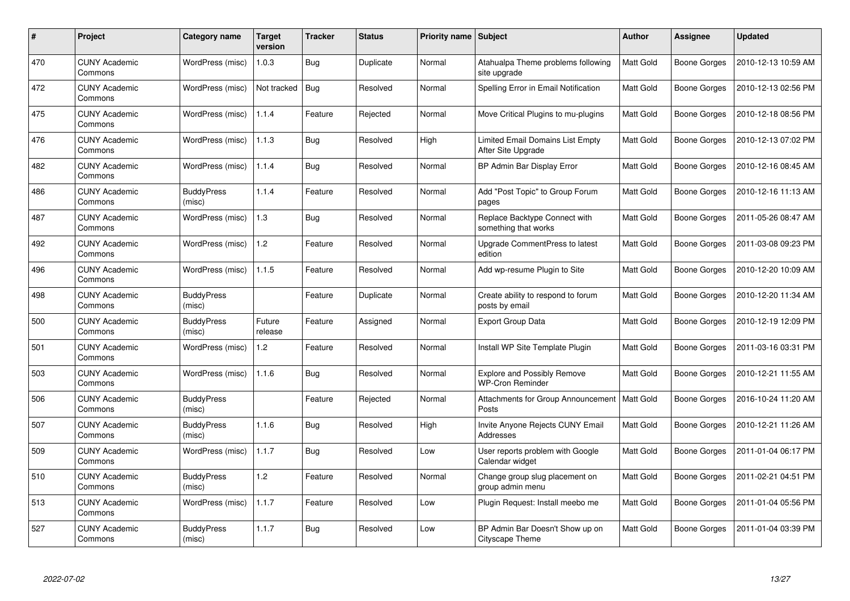| #   | Project                         | Category name               | <b>Target</b><br>version | Tracker    | <b>Status</b> | <b>Priority name   Subject</b> |                                                               | <b>Author</b>    | <b>Assignee</b>     | <b>Updated</b>      |
|-----|---------------------------------|-----------------------------|--------------------------|------------|---------------|--------------------------------|---------------------------------------------------------------|------------------|---------------------|---------------------|
| 470 | <b>CUNY Academic</b><br>Commons | WordPress (misc)            | 1.0.3                    | <b>Bug</b> | Duplicate     | Normal                         | Atahualpa Theme problems following<br>site upgrade            | <b>Matt Gold</b> | Boone Gorges        | 2010-12-13 10:59 AM |
| 472 | <b>CUNY Academic</b><br>Commons | WordPress (misc)            | Not tracked              | Bug        | Resolved      | Normal                         | Spelling Error in Email Notification                          | <b>Matt Gold</b> | Boone Gorges        | 2010-12-13 02:56 PM |
| 475 | <b>CUNY Academic</b><br>Commons | WordPress (misc)            | 1.1.4                    | Feature    | Rejected      | Normal                         | Move Critical Plugins to mu-plugins                           | <b>Matt Gold</b> | <b>Boone Gorges</b> | 2010-12-18 08:56 PM |
| 476 | <b>CUNY Academic</b><br>Commons | WordPress (misc)            | 1.1.3                    | <b>Bug</b> | Resolved      | High                           | Limited Email Domains List Empty<br>After Site Upgrade        | Matt Gold        | Boone Gorges        | 2010-12-13 07:02 PM |
| 482 | <b>CUNY Academic</b><br>Commons | WordPress (misc)            | 1.1.4                    | <b>Bug</b> | Resolved      | Normal                         | BP Admin Bar Display Error                                    | <b>Matt Gold</b> | <b>Boone Gorges</b> | 2010-12-16 08:45 AM |
| 486 | <b>CUNY Academic</b><br>Commons | <b>BuddyPress</b><br>(misc) | 1.1.4                    | Feature    | Resolved      | Normal                         | Add "Post Topic" to Group Forum<br>pages                      | Matt Gold        | Boone Gorges        | 2010-12-16 11:13 AM |
| 487 | <b>CUNY Academic</b><br>Commons | WordPress (misc)            | 1.3                      | <b>Bug</b> | Resolved      | Normal                         | Replace Backtype Connect with<br>something that works         | <b>Matt Gold</b> | Boone Gorges        | 2011-05-26 08:47 AM |
| 492 | <b>CUNY Academic</b><br>Commons | WordPress (misc)            | 1.2                      | Feature    | Resolved      | Normal                         | Upgrade CommentPress to latest<br>edition                     | Matt Gold        | Boone Gorges        | 2011-03-08 09:23 PM |
| 496 | <b>CUNY Academic</b><br>Commons | WordPress (misc)            | 1.1.5                    | Feature    | Resolved      | Normal                         | Add wp-resume Plugin to Site                                  | <b>Matt Gold</b> | Boone Gorges        | 2010-12-20 10:09 AM |
| 498 | <b>CUNY Academic</b><br>Commons | <b>BuddyPress</b><br>(misc) |                          | Feature    | Duplicate     | Normal                         | Create ability to respond to forum<br>posts by email          | Matt Gold        | Boone Gorges        | 2010-12-20 11:34 AM |
| 500 | <b>CUNY Academic</b><br>Commons | <b>BuddyPress</b><br>(misc) | Future<br>release        | Feature    | Assigned      | Normal                         | <b>Export Group Data</b>                                      | Matt Gold        | <b>Boone Gorges</b> | 2010-12-19 12:09 PM |
| 501 | <b>CUNY Academic</b><br>Commons | WordPress (misc)            | 1.2                      | Feature    | Resolved      | Normal                         | Install WP Site Template Plugin                               | <b>Matt Gold</b> | Boone Gorges        | 2011-03-16 03:31 PM |
| 503 | <b>CUNY Academic</b><br>Commons | WordPress (misc)            | 1.1.6                    | Bug        | Resolved      | Normal                         | <b>Explore and Possibly Remove</b><br><b>WP-Cron Reminder</b> | <b>Matt Gold</b> | Boone Gorges        | 2010-12-21 11:55 AM |
| 506 | <b>CUNY Academic</b><br>Commons | <b>BuddyPress</b><br>(misc) |                          | Feature    | Rejected      | Normal                         | Attachments for Group Announcement<br>Posts                   | Matt Gold        | Boone Gorges        | 2016-10-24 11:20 AM |
| 507 | <b>CUNY Academic</b><br>Commons | <b>BuddyPress</b><br>(misc) | 1.1.6                    | <b>Bug</b> | Resolved      | High                           | Invite Anyone Rejects CUNY Email<br>Addresses                 | Matt Gold        | Boone Gorges        | 2010-12-21 11:26 AM |
| 509 | <b>CUNY Academic</b><br>Commons | WordPress (misc)            | 1.1.7                    | <b>Bug</b> | Resolved      | Low                            | User reports problem with Google<br>Calendar widget           | <b>Matt Gold</b> | Boone Gorges        | 2011-01-04 06:17 PM |
| 510 | <b>CUNY Academic</b><br>Commons | <b>BuddyPress</b><br>(misc) | 1.2                      | Feature    | Resolved      | Normal                         | Change group slug placement on<br>group admin menu            | Matt Gold        | Boone Gorges        | 2011-02-21 04:51 PM |
| 513 | <b>CUNY Academic</b><br>Commons | WordPress (misc)            | 1.1.7                    | Feature    | Resolved      | Low                            | Plugin Request: Install meebo me                              | Matt Gold        | Boone Gorges        | 2011-01-04 05:56 PM |
| 527 | <b>CUNY Academic</b><br>Commons | <b>BuddyPress</b><br>(misc) | 1.1.7                    | <b>Bug</b> | Resolved      | Low                            | BP Admin Bar Doesn't Show up on<br>Cityscape Theme            | Matt Gold        | Boone Gorges        | 2011-01-04 03:39 PM |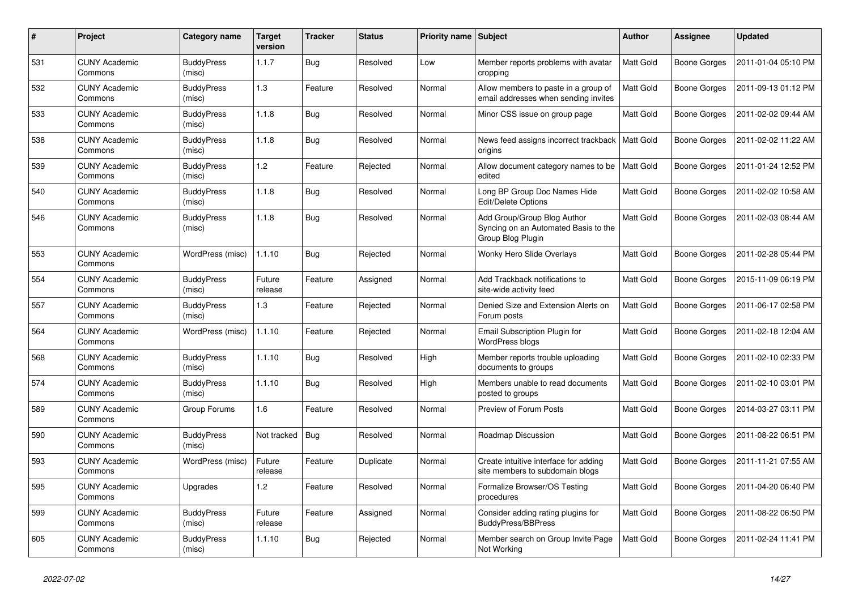| #   | Project                         | Category name               | <b>Target</b><br>version | <b>Tracker</b> | <b>Status</b> | Priority name   Subject |                                                                                          | <b>Author</b>    | <b>Assignee</b>     | <b>Updated</b>      |
|-----|---------------------------------|-----------------------------|--------------------------|----------------|---------------|-------------------------|------------------------------------------------------------------------------------------|------------------|---------------------|---------------------|
| 531 | <b>CUNY Academic</b><br>Commons | <b>BuddyPress</b><br>(misc) | 1.1.7                    | <b>Bug</b>     | Resolved      | Low                     | Member reports problems with avatar<br>cropping                                          | <b>Matt Gold</b> | Boone Gorges        | 2011-01-04 05:10 PM |
| 532 | <b>CUNY Academic</b><br>Commons | <b>BuddyPress</b><br>(misc) | 1.3                      | Feature        | Resolved      | Normal                  | Allow members to paste in a group of<br>email addresses when sending invites             | <b>Matt Gold</b> | Boone Gorges        | 2011-09-13 01:12 PM |
| 533 | <b>CUNY Academic</b><br>Commons | <b>BuddyPress</b><br>(misc) | 1.1.8                    | <b>Bug</b>     | Resolved      | Normal                  | Minor CSS issue on group page                                                            | Matt Gold        | Boone Gorges        | 2011-02-02 09:44 AM |
| 538 | <b>CUNY Academic</b><br>Commons | <b>BuddyPress</b><br>(misc) | 1.1.8                    | Bug            | Resolved      | Normal                  | News feed assigns incorrect trackback<br>origins                                         | <b>Matt Gold</b> | Boone Gorges        | 2011-02-02 11:22 AM |
| 539 | <b>CUNY Academic</b><br>Commons | <b>BuddyPress</b><br>(misc) | 1.2                      | Feature        | Rejected      | Normal                  | Allow document category names to be<br>edited                                            | <b>Matt Gold</b> | Boone Gorges        | 2011-01-24 12:52 PM |
| 540 | <b>CUNY Academic</b><br>Commons | <b>BuddyPress</b><br>(misc) | 1.1.8                    | <b>Bug</b>     | Resolved      | Normal                  | Long BP Group Doc Names Hide<br><b>Edit/Delete Options</b>                               | Matt Gold        | Boone Gorges        | 2011-02-02 10:58 AM |
| 546 | <b>CUNY Academic</b><br>Commons | <b>BuddyPress</b><br>(misc) | 1.1.8                    | <b>Bug</b>     | Resolved      | Normal                  | Add Group/Group Blog Author<br>Syncing on an Automated Basis to the<br>Group Blog Plugin | Matt Gold        | Boone Gorges        | 2011-02-03 08:44 AM |
| 553 | <b>CUNY Academic</b><br>Commons | WordPress (misc)            | 1.1.10                   | Bug            | Rejected      | Normal                  | <b>Wonky Hero Slide Overlays</b>                                                         | Matt Gold        | <b>Boone Gorges</b> | 2011-02-28 05:44 PM |
| 554 | <b>CUNY Academic</b><br>Commons | <b>BuddyPress</b><br>(misc) | Future<br>release        | Feature        | Assigned      | Normal                  | Add Trackback notifications to<br>site-wide activity feed                                | Matt Gold        | Boone Gorges        | 2015-11-09 06:19 PM |
| 557 | <b>CUNY Academic</b><br>Commons | <b>BuddyPress</b><br>(misc) | 1.3                      | Feature        | Rejected      | Normal                  | Denied Size and Extension Alerts on<br>Forum posts                                       | <b>Matt Gold</b> | Boone Gorges        | 2011-06-17 02:58 PM |
| 564 | <b>CUNY Academic</b><br>Commons | WordPress (misc)            | 1.1.10                   | Feature        | Rejected      | Normal                  | Email Subscription Plugin for<br><b>WordPress blogs</b>                                  | Matt Gold        | Boone Gorges        | 2011-02-18 12:04 AM |
| 568 | <b>CUNY Academic</b><br>Commons | <b>BuddyPress</b><br>(misc) | 1.1.10                   | <b>Bug</b>     | Resolved      | High                    | Member reports trouble uploading<br>documents to groups                                  | Matt Gold        | Boone Gorges        | 2011-02-10 02:33 PM |
| 574 | <b>CUNY Academic</b><br>Commons | <b>BuddyPress</b><br>(misc) | 1.1.10                   | <b>Bug</b>     | Resolved      | High                    | Members unable to read documents<br>posted to groups                                     | <b>Matt Gold</b> | Boone Gorges        | 2011-02-10 03:01 PM |
| 589 | <b>CUNY Academic</b><br>Commons | Group Forums                | 1.6                      | Feature        | Resolved      | Normal                  | Preview of Forum Posts                                                                   | Matt Gold        | Boone Gorges        | 2014-03-27 03:11 PM |
| 590 | <b>CUNY Academic</b><br>Commons | <b>BuddyPress</b><br>(misc) | Not tracked              | <b>Bug</b>     | Resolved      | Normal                  | Roadmap Discussion                                                                       | Matt Gold        | Boone Gorges        | 2011-08-22 06:51 PM |
| 593 | <b>CUNY Academic</b><br>Commons | WordPress (misc)            | Future<br>release        | Feature        | Duplicate     | Normal                  | Create intuitive interface for adding<br>site members to subdomain blogs                 | Matt Gold        | Boone Gorges        | 2011-11-21 07:55 AM |
| 595 | <b>CUNY Academic</b><br>Commons | Upgrades                    | 1.2                      | Feature        | Resolved      | Normal                  | Formalize Browser/OS Testing<br>procedures                                               | Matt Gold        | Boone Gorges        | 2011-04-20 06:40 PM |
| 599 | <b>CUNY Academic</b><br>Commons | <b>BuddyPress</b><br>(misc) | Future<br>release        | Feature        | Assigned      | Normal                  | Consider adding rating plugins for<br><b>BuddyPress/BBPress</b>                          | Matt Gold        | Boone Gorges        | 2011-08-22 06:50 PM |
| 605 | <b>CUNY Academic</b><br>Commons | <b>BuddyPress</b><br>(misc) | 1.1.10                   | <b>Bug</b>     | Rejected      | Normal                  | Member search on Group Invite Page<br>Not Working                                        | Matt Gold        | Boone Gorges        | 2011-02-24 11:41 PM |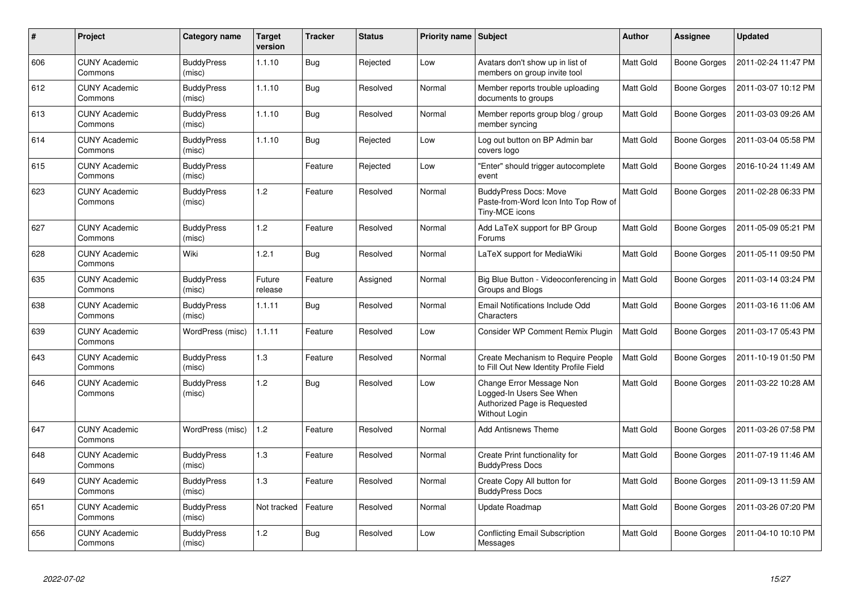| $\#$ | Project                         | Category name               | <b>Target</b><br>version | <b>Tracker</b> | <b>Status</b> | <b>Priority name</b> | Subject                                                                                               | <b>Author</b>    | Assignee            | <b>Updated</b>      |
|------|---------------------------------|-----------------------------|--------------------------|----------------|---------------|----------------------|-------------------------------------------------------------------------------------------------------|------------------|---------------------|---------------------|
| 606  | <b>CUNY Academic</b><br>Commons | <b>BuddyPress</b><br>(misc) | 1.1.10                   | <b>Bug</b>     | Rejected      | Low                  | Avatars don't show up in list of<br>members on group invite tool                                      | Matt Gold        | Boone Gorges        | 2011-02-24 11:47 PM |
| 612  | <b>CUNY Academic</b><br>Commons | <b>BuddyPress</b><br>(misc) | 1.1.10                   | <b>Bug</b>     | Resolved      | Normal               | Member reports trouble uploading<br>documents to groups                                               | Matt Gold        | Boone Gorges        | 2011-03-07 10:12 PM |
| 613  | <b>CUNY Academic</b><br>Commons | <b>BuddyPress</b><br>(misc) | 1.1.10                   | <b>Bug</b>     | Resolved      | Normal               | Member reports group blog / group<br>member syncing                                                   | Matt Gold        | <b>Boone Gorges</b> | 2011-03-03 09:26 AM |
| 614  | <b>CUNY Academic</b><br>Commons | <b>BuddyPress</b><br>(misc) | 1.1.10                   | <b>Bug</b>     | Rejected      | Low                  | Log out button on BP Admin bar<br>covers logo                                                         | Matt Gold        | Boone Gorges        | 2011-03-04 05:58 PM |
| 615  | <b>CUNY Academic</b><br>Commons | <b>BuddyPress</b><br>(misc) |                          | Feature        | Rejected      | Low                  | 'Enter" should trigger autocomplete<br>event                                                          | Matt Gold        | Boone Gorges        | 2016-10-24 11:49 AM |
| 623  | <b>CUNY Academic</b><br>Commons | <b>BuddyPress</b><br>(misc) | 1.2                      | Feature        | Resolved      | Normal               | <b>BuddyPress Docs: Move</b><br>Paste-from-Word Icon Into Top Row of<br>Tiny-MCE icons                | <b>Matt Gold</b> | Boone Gorges        | 2011-02-28 06:33 PM |
| 627  | <b>CUNY Academic</b><br>Commons | <b>BuddyPress</b><br>(misc) | 1.2                      | Feature        | Resolved      | Normal               | Add LaTeX support for BP Group<br>Forums                                                              | Matt Gold        | Boone Gorges        | 2011-05-09 05:21 PM |
| 628  | <b>CUNY Academic</b><br>Commons | Wiki                        | 1.2.1                    | <b>Bug</b>     | Resolved      | Normal               | LaTeX support for MediaWiki                                                                           | Matt Gold        | <b>Boone Gorges</b> | 2011-05-11 09:50 PM |
| 635  | <b>CUNY Academic</b><br>Commons | <b>BuddyPress</b><br>(misc) | Future<br>release        | Feature        | Assigned      | Normal               | Big Blue Button - Videoconferencing in<br>Groups and Blogs                                            | Matt Gold        | Boone Gorges        | 2011-03-14 03:24 PM |
| 638  | <b>CUNY Academic</b><br>Commons | <b>BuddyPress</b><br>(misc) | 1.1.11                   | <b>Bug</b>     | Resolved      | Normal               | Email Notifications Include Odd<br>Characters                                                         | Matt Gold        | Boone Gorges        | 2011-03-16 11:06 AM |
| 639  | <b>CUNY Academic</b><br>Commons | WordPress (misc)            | 1.1.11                   | Feature        | Resolved      | Low                  | Consider WP Comment Remix Plugin                                                                      | Matt Gold        | Boone Gorges        | 2011-03-17 05:43 PM |
| 643  | <b>CUNY Academic</b><br>Commons | <b>BuddyPress</b><br>(misc) | 1.3                      | Feature        | Resolved      | Normal               | Create Mechanism to Require People<br>to Fill Out New Identity Profile Field                          | Matt Gold        | Boone Gorges        | 2011-10-19 01:50 PM |
| 646  | <b>CUNY Academic</b><br>Commons | <b>BuddyPress</b><br>(misc) | 1.2                      | <b>Bug</b>     | Resolved      | Low                  | Change Error Message Non<br>Logged-In Users See When<br>Authorized Page is Requested<br>Without Login | Matt Gold        | Boone Gorges        | 2011-03-22 10:28 AM |
| 647  | <b>CUNY Academic</b><br>Commons | WordPress (misc)            | 1.2                      | Feature        | Resolved      | Normal               | <b>Add Antisnews Theme</b>                                                                            | Matt Gold        | Boone Gorges        | 2011-03-26 07:58 PM |
| 648  | <b>CUNY Academic</b><br>Commons | <b>BuddyPress</b><br>(misc) | 1.3                      | Feature        | Resolved      | Normal               | Create Print functionality for<br><b>BuddyPress Docs</b>                                              | Matt Gold        | Boone Gorges        | 2011-07-19 11:46 AM |
| 649  | <b>CUNY Academic</b><br>Commons | <b>BuddyPress</b><br>(misc) | 1.3                      | Feature        | Resolved      | Normal               | Create Copy All button for<br><b>BuddyPress Docs</b>                                                  | Matt Gold        | Boone Gorges        | 2011-09-13 11:59 AM |
| 651  | <b>CUNY Academic</b><br>Commons | <b>BuddyPress</b><br>(misc) | Not tracked              | Feature        | Resolved      | Normal               | Update Roadmap                                                                                        | Matt Gold        | Boone Gorges        | 2011-03-26 07:20 PM |
| 656  | <b>CUNY Academic</b><br>Commons | <b>BuddyPress</b><br>(misc) | 1.2                      | <b>Bug</b>     | Resolved      | Low                  | <b>Conflicting Email Subscription</b><br>Messages                                                     | Matt Gold        | Boone Gorges        | 2011-04-10 10:10 PM |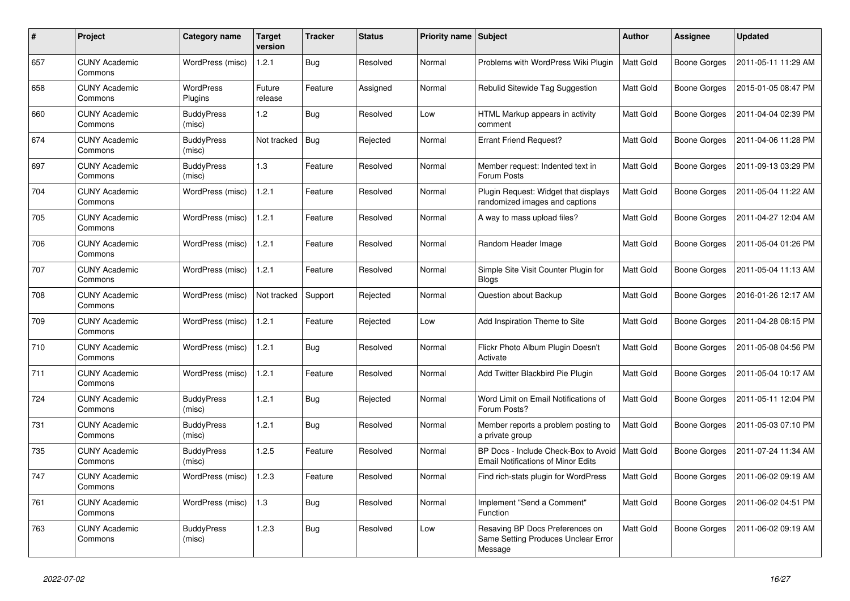| #   | Project                         | Category name               | Target<br>version | <b>Tracker</b> | <b>Status</b> | Priority name   Subject |                                                                                   | <b>Author</b> | <b>Assignee</b>     | <b>Updated</b>      |
|-----|---------------------------------|-----------------------------|-------------------|----------------|---------------|-------------------------|-----------------------------------------------------------------------------------|---------------|---------------------|---------------------|
| 657 | <b>CUNY Academic</b><br>Commons | WordPress (misc)            | 1.2.1             | Bug            | Resolved      | Normal                  | Problems with WordPress Wiki Plugin                                               | Matt Gold     | Boone Gorges        | 2011-05-11 11:29 AM |
| 658 | <b>CUNY Academic</b><br>Commons | WordPress<br>Plugins        | Future<br>release | Feature        | Assigned      | Normal                  | Rebulid Sitewide Tag Suggestion                                                   | Matt Gold     | Boone Gorges        | 2015-01-05 08:47 PM |
| 660 | <b>CUNY Academic</b><br>Commons | <b>BuddyPress</b><br>(misc) | 1.2               | <b>Bug</b>     | Resolved      | Low                     | HTML Markup appears in activity<br>comment                                        | Matt Gold     | Boone Gorges        | 2011-04-04 02:39 PM |
| 674 | <b>CUNY Academic</b><br>Commons | <b>BuddyPress</b><br>(misc) | Not tracked       | Bug            | Rejected      | Normal                  | <b>Errant Friend Request?</b>                                                     | Matt Gold     | Boone Gorges        | 2011-04-06 11:28 PM |
| 697 | <b>CUNY Academic</b><br>Commons | <b>BuddyPress</b><br>(misc) | 1.3               | Feature        | Resolved      | Normal                  | Member request: Indented text in<br>Forum Posts                                   | Matt Gold     | Boone Gorges        | 2011-09-13 03:29 PM |
| 704 | <b>CUNY Academic</b><br>Commons | WordPress (misc)            | 1.2.1             | Feature        | Resolved      | Normal                  | Plugin Request: Widget that displays<br>randomized images and captions            | Matt Gold     | Boone Gorges        | 2011-05-04 11:22 AM |
| 705 | <b>CUNY Academic</b><br>Commons | WordPress (misc)            | 1.2.1             | Feature        | Resolved      | Normal                  | A way to mass upload files?                                                       | Matt Gold     | Boone Gorges        | 2011-04-27 12:04 AM |
| 706 | <b>CUNY Academic</b><br>Commons | WordPress (misc)            | 1.2.1             | Feature        | Resolved      | Normal                  | Random Header Image                                                               | Matt Gold     | Boone Gorges        | 2011-05-04 01:26 PM |
| 707 | <b>CUNY Academic</b><br>Commons | WordPress (misc)            | 1.2.1             | Feature        | Resolved      | Normal                  | Simple Site Visit Counter Plugin for<br><b>Blogs</b>                              | Matt Gold     | <b>Boone Gorges</b> | 2011-05-04 11:13 AM |
| 708 | <b>CUNY Academic</b><br>Commons | WordPress (misc)            | Not tracked       | Support        | Rejected      | Normal                  | Question about Backup                                                             | Matt Gold     | Boone Gorges        | 2016-01-26 12:17 AM |
| 709 | <b>CUNY Academic</b><br>Commons | WordPress (misc)            | 1.2.1             | Feature        | Rejected      | Low                     | Add Inspiration Theme to Site                                                     | Matt Gold     | Boone Gorges        | 2011-04-28 08:15 PM |
| 710 | <b>CUNY Academic</b><br>Commons | WordPress (misc)            | 1.2.1             | <b>Bug</b>     | Resolved      | Normal                  | Flickr Photo Album Plugin Doesn't<br>Activate                                     | Matt Gold     | Boone Gorges        | 2011-05-08 04:56 PM |
| 711 | <b>CUNY Academic</b><br>Commons | WordPress (misc)            | 1.2.1             | Feature        | Resolved      | Normal                  | Add Twitter Blackbird Pie Plugin                                                  | Matt Gold     | Boone Gorges        | 2011-05-04 10:17 AM |
| 724 | <b>CUNY Academic</b><br>Commons | <b>BuddyPress</b><br>(misc) | 1.2.1             | Bug            | Rejected      | Normal                  | Word Limit on Email Notifications of<br>Forum Posts?                              | Matt Gold     | Boone Gorges        | 2011-05-11 12:04 PM |
| 731 | <b>CUNY Academic</b><br>Commons | <b>BuddyPress</b><br>(misc) | 1.2.1             | <b>Bug</b>     | Resolved      | Normal                  | Member reports a problem posting to<br>a private group                            | Matt Gold     | Boone Gorges        | 2011-05-03 07:10 PM |
| 735 | <b>CUNY Academic</b><br>Commons | <b>BuddyPress</b><br>(misc) | 1.2.5             | Feature        | Resolved      | Normal                  | BP Docs - Include Check-Box to Avoid<br><b>Email Notifications of Minor Edits</b> | Matt Gold     | Boone Gorges        | 2011-07-24 11:34 AM |
| 747 | <b>CUNY Academic</b><br>Commons | WordPress (misc)            | 1.2.3             | Feature        | Resolved      | Normal                  | Find rich-stats plugin for WordPress                                              | Matt Gold     | Boone Gorges        | 2011-06-02 09:19 AM |
| 761 | <b>CUNY Academic</b><br>Commons | WordPress (misc)            | 1.3               | <b>Bug</b>     | Resolved      | Normal                  | Implement "Send a Comment"<br>Function                                            | Matt Gold     | Boone Gorges        | 2011-06-02 04:51 PM |
| 763 | <b>CUNY Academic</b><br>Commons | <b>BuddyPress</b><br>(misc) | 1.2.3             | <b>Bug</b>     | Resolved      | Low                     | Resaving BP Docs Preferences on<br>Same Setting Produces Unclear Error<br>Message | Matt Gold     | Boone Gorges        | 2011-06-02 09:19 AM |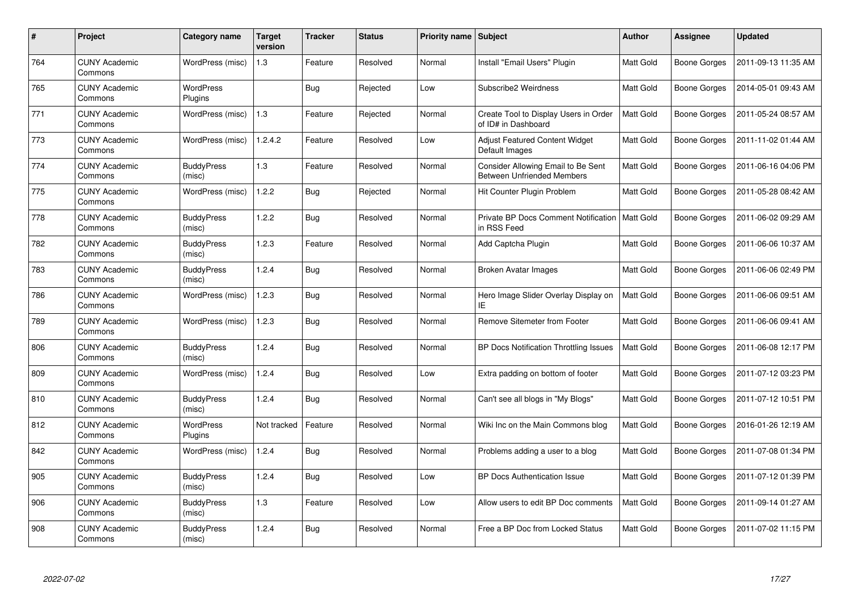| #   | Project                         | Category name               | Target<br>version | <b>Tracker</b> | <b>Status</b> | <b>Priority name   Subject</b> |                                                                         | <b>Author</b>    | <b>Assignee</b>     | <b>Updated</b>      |
|-----|---------------------------------|-----------------------------|-------------------|----------------|---------------|--------------------------------|-------------------------------------------------------------------------|------------------|---------------------|---------------------|
| 764 | <b>CUNY Academic</b><br>Commons | WordPress (misc)            | 1.3               | Feature        | Resolved      | Normal                         | Install "Email Users" Plugin                                            | <b>Matt Gold</b> | Boone Gorges        | 2011-09-13 11:35 AM |
| 765 | <b>CUNY Academic</b><br>Commons | WordPress<br>Plugins        |                   | Bug            | Rejected      | Low                            | Subscribe2 Weirdness                                                    | <b>Matt Gold</b> | Boone Gorges        | 2014-05-01 09:43 AM |
| 771 | <b>CUNY Academic</b><br>Commons | WordPress (misc)            | 1.3               | Feature        | Rejected      | Normal                         | Create Tool to Display Users in Order<br>of ID# in Dashboard            | <b>Matt Gold</b> | Boone Gorges        | 2011-05-24 08:57 AM |
| 773 | <b>CUNY Academic</b><br>Commons | WordPress (misc)            | 1.2.4.2           | Feature        | Resolved      | Low                            | Adjust Featured Content Widget<br>Default Images                        | Matt Gold        | Boone Gorges        | 2011-11-02 01:44 AM |
| 774 | <b>CUNY Academic</b><br>Commons | <b>BuddyPress</b><br>(misc) | 1.3               | Feature        | Resolved      | Normal                         | Consider Allowing Email to Be Sent<br><b>Between Unfriended Members</b> | Matt Gold        | <b>Boone Gorges</b> | 2011-06-16 04:06 PM |
| 775 | <b>CUNY Academic</b><br>Commons | WordPress (misc)            | 1.2.2             | <b>Bug</b>     | Rejected      | Normal                         | Hit Counter Plugin Problem                                              | Matt Gold        | Boone Gorges        | 2011-05-28 08:42 AM |
| 778 | <b>CUNY Academic</b><br>Commons | <b>BuddyPress</b><br>(misc) | 1.2.2             | <b>Bug</b>     | Resolved      | Normal                         | Private BP Docs Comment Notification<br>in RSS Feed                     | Matt Gold        | Boone Gorges        | 2011-06-02 09:29 AM |
| 782 | <b>CUNY Academic</b><br>Commons | <b>BuddyPress</b><br>(misc) | 1.2.3             | Feature        | Resolved      | Normal                         | Add Captcha Plugin                                                      | Matt Gold        | Boone Gorges        | 2011-06-06 10:37 AM |
| 783 | <b>CUNY Academic</b><br>Commons | <b>BuddyPress</b><br>(misc) | 1.2.4             | <b>Bug</b>     | Resolved      | Normal                         | <b>Broken Avatar Images</b>                                             | Matt Gold        | Boone Gorges        | 2011-06-06 02:49 PM |
| 786 | <b>CUNY Academic</b><br>Commons | WordPress (misc)            | 1.2.3             | <b>Bug</b>     | Resolved      | Normal                         | Hero Image Slider Overlay Display on<br>ΙE                              | <b>Matt Gold</b> | Boone Gorges        | 2011-06-06 09:51 AM |
| 789 | <b>CUNY Academic</b><br>Commons | WordPress (misc)            | 1.2.3             | <b>Bug</b>     | Resolved      | Normal                         | Remove Sitemeter from Footer                                            | Matt Gold        | Boone Gorges        | 2011-06-06 09:41 AM |
| 806 | <b>CUNY Academic</b><br>Commons | <b>BuddyPress</b><br>(misc) | 1.2.4             | <b>Bug</b>     | Resolved      | Normal                         | BP Docs Notification Throttling Issues                                  | Matt Gold        | Boone Gorges        | 2011-06-08 12:17 PM |
| 809 | <b>CUNY Academic</b><br>Commons | WordPress (misc)            | 1.2.4             | <b>Bug</b>     | Resolved      | Low                            | Extra padding on bottom of footer                                       | Matt Gold        | Boone Gorges        | 2011-07-12 03:23 PM |
| 810 | <b>CUNY Academic</b><br>Commons | <b>BuddyPress</b><br>(misc) | 1.2.4             | <b>Bug</b>     | Resolved      | Normal                         | Can't see all blogs in "My Blogs"                                       | Matt Gold        | Boone Gorges        | 2011-07-12 10:51 PM |
| 812 | <b>CUNY Academic</b><br>Commons | WordPress<br>Plugins        | Not tracked       | Feature        | Resolved      | Normal                         | Wiki Inc on the Main Commons blog                                       | Matt Gold        | Boone Gorges        | 2016-01-26 12:19 AM |
| 842 | <b>CUNY Academic</b><br>Commons | WordPress (misc)            | 1.2.4             | <b>Bug</b>     | Resolved      | Normal                         | Problems adding a user to a blog                                        | Matt Gold        | Boone Gorges        | 2011-07-08 01:34 PM |
| 905 | <b>CUNY Academic</b><br>Commons | <b>BuddyPress</b><br>(misc) | 1.2.4             | <b>Bug</b>     | Resolved      | Low                            | <b>BP Docs Authentication Issue</b>                                     | Matt Gold        | Boone Gorges        | 2011-07-12 01:39 PM |
| 906 | <b>CUNY Academic</b><br>Commons | <b>BuddyPress</b><br>(misc) | $1.3$             | Feature        | Resolved      | Low                            | Allow users to edit BP Doc comments                                     | Matt Gold        | Boone Gorges        | 2011-09-14 01:27 AM |
| 908 | <b>CUNY Academic</b><br>Commons | <b>BuddyPress</b><br>(misc) | 1.2.4             | <b>Bug</b>     | Resolved      | Normal                         | Free a BP Doc from Locked Status                                        | <b>Matt Gold</b> | Boone Gorges        | 2011-07-02 11:15 PM |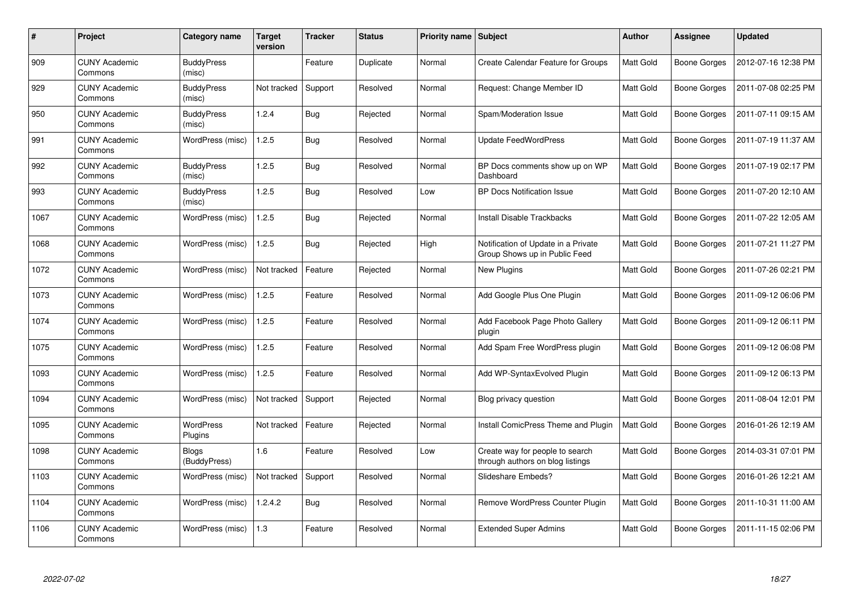| #    | Project                         | Category name                | Target<br>version | Tracker    | <b>Status</b> | <b>Priority name   Subject</b> |                                                                      | <b>Author</b>    | Assignee            | <b>Updated</b>      |
|------|---------------------------------|------------------------------|-------------------|------------|---------------|--------------------------------|----------------------------------------------------------------------|------------------|---------------------|---------------------|
| 909  | <b>CUNY Academic</b><br>Commons | <b>BuddyPress</b><br>(misc)  |                   | Feature    | Duplicate     | Normal                         | <b>Create Calendar Feature for Groups</b>                            | Matt Gold        | Boone Gorges        | 2012-07-16 12:38 PM |
| 929  | <b>CUNY Academic</b><br>Commons | <b>BuddyPress</b><br>(misc)  | Not tracked       | Support    | Resolved      | Normal                         | Request: Change Member ID                                            | <b>Matt Gold</b> | Boone Gorges        | 2011-07-08 02:25 PM |
| 950  | <b>CUNY Academic</b><br>Commons | <b>BuddyPress</b><br>(misc)  | 1.2.4             | <b>Bug</b> | Rejected      | Normal                         | Spam/Moderation Issue                                                | Matt Gold        | <b>Boone Gorges</b> | 2011-07-11 09:15 AM |
| 991  | <b>CUNY Academic</b><br>Commons | WordPress (misc)             | 1.2.5             | <b>Bug</b> | Resolved      | Normal                         | <b>Update FeedWordPress</b>                                          | Matt Gold        | Boone Gorges        | 2011-07-19 11:37 AM |
| 992  | <b>CUNY Academic</b><br>Commons | <b>BuddyPress</b><br>(misc)  | 1.2.5             | <b>Bug</b> | Resolved      | Normal                         | BP Docs comments show up on WP<br>Dashboard                          | Matt Gold        | Boone Gorges        | 2011-07-19 02:17 PM |
| 993  | <b>CUNY Academic</b><br>Commons | <b>BuddyPress</b><br>(misc)  | 1.2.5             | Bug        | Resolved      | Low                            | <b>BP Docs Notification Issue</b>                                    | Matt Gold        | Boone Gorges        | 2011-07-20 12:10 AM |
| 1067 | <b>CUNY Academic</b><br>Commons | WordPress (misc)             | 1.2.5             | <b>Bug</b> | Rejected      | Normal                         | <b>Install Disable Trackbacks</b>                                    | Matt Gold        | Boone Gorges        | 2011-07-22 12:05 AM |
| 1068 | <b>CUNY Academic</b><br>Commons | WordPress (misc)             | 1.2.5             | <b>Bug</b> | Rejected      | High                           | Notification of Update in a Private<br>Group Shows up in Public Feed | Matt Gold        | Boone Gorges        | 2011-07-21 11:27 PM |
| 1072 | <b>CUNY Academic</b><br>Commons | WordPress (misc)             | Not tracked       | Feature    | Rejected      | Normal                         | <b>New Plugins</b>                                                   | <b>Matt Gold</b> | Boone Gorges        | 2011-07-26 02:21 PM |
| 1073 | <b>CUNY Academic</b><br>Commons | WordPress (misc)             | 1.2.5             | Feature    | Resolved      | Normal                         | Add Google Plus One Plugin                                           | <b>Matt Gold</b> | Boone Gorges        | 2011-09-12 06:06 PM |
| 1074 | <b>CUNY Academic</b><br>Commons | WordPress (misc)             | 1.2.5             | Feature    | Resolved      | Normal                         | Add Facebook Page Photo Gallery<br>plugin                            | Matt Gold        | Boone Gorges        | 2011-09-12 06:11 PM |
| 1075 | <b>CUNY Academic</b><br>Commons | WordPress (misc)             | 1.2.5             | Feature    | Resolved      | Normal                         | Add Spam Free WordPress plugin                                       | Matt Gold        | Boone Gorges        | 2011-09-12 06:08 PM |
| 1093 | <b>CUNY Academic</b><br>Commons | WordPress (misc)             | 1.2.5             | Feature    | Resolved      | Normal                         | Add WP-SyntaxEvolved Plugin                                          | Matt Gold        | Boone Gorges        | 2011-09-12 06:13 PM |
| 1094 | <b>CUNY Academic</b><br>Commons | WordPress (misc)             | Not tracked       | Support    | Rejected      | Normal                         | Blog privacy question                                                | Matt Gold        | Boone Gorges        | 2011-08-04 12:01 PM |
| 1095 | <b>CUNY Academic</b><br>Commons | WordPress<br>Plugins         | Not tracked       | Feature    | Rejected      | Normal                         | Install ComicPress Theme and Plugin                                  | Matt Gold        | Boone Gorges        | 2016-01-26 12:19 AM |
| 1098 | <b>CUNY Academic</b><br>Commons | <b>Blogs</b><br>(BuddyPress) | 1.6               | Feature    | Resolved      | Low                            | Create way for people to search<br>through authors on blog listings  | <b>Matt Gold</b> | Boone Gorges        | 2014-03-31 07:01 PM |
| 1103 | <b>CUNY Academic</b><br>Commons | WordPress (misc)             | Not tracked       | Support    | Resolved      | Normal                         | Slideshare Embeds?                                                   | Matt Gold        | Boone Gorges        | 2016-01-26 12:21 AM |
| 1104 | <b>CUNY Academic</b><br>Commons | WordPress (misc)             | 1.2.4.2           | <b>Bug</b> | Resolved      | Normal                         | Remove WordPress Counter Plugin                                      | Matt Gold        | Boone Gorges        | 2011-10-31 11:00 AM |
| 1106 | <b>CUNY Academic</b><br>Commons | WordPress (misc)             | 1.3               | Feature    | Resolved      | Normal                         | <b>Extended Super Admins</b>                                         | Matt Gold        | Boone Gorges        | 2011-11-15 02:06 PM |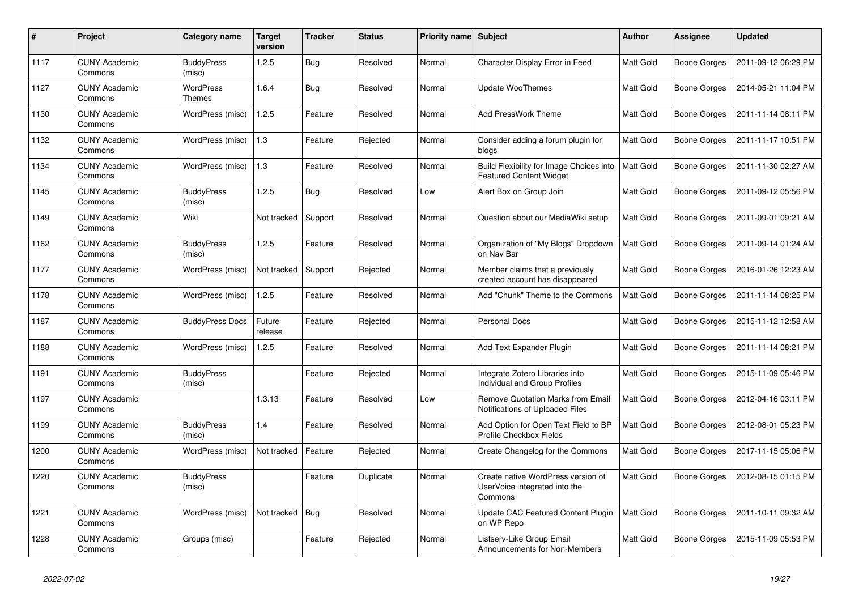| $\pmb{\#}$ | <b>Project</b>                  | Category name               | <b>Target</b><br>version | <b>Tracker</b> | <b>Status</b> | Priority name   Subject |                                                                                | <b>Author</b>    | <b>Assignee</b> | <b>Updated</b>      |
|------------|---------------------------------|-----------------------------|--------------------------|----------------|---------------|-------------------------|--------------------------------------------------------------------------------|------------------|-----------------|---------------------|
| 1117       | <b>CUNY Academic</b><br>Commons | <b>BuddyPress</b><br>(misc) | 1.2.5                    | <b>Bug</b>     | Resolved      | Normal                  | Character Display Error in Feed                                                | <b>Matt Gold</b> | Boone Gorges    | 2011-09-12 06:29 PM |
| 1127       | <b>CUNY Academic</b><br>Commons | <b>WordPress</b><br>Themes  | 1.6.4                    | <b>Bug</b>     | Resolved      | Normal                  | Update WooThemes                                                               | Matt Gold        | Boone Gorges    | 2014-05-21 11:04 PM |
| 1130       | <b>CUNY Academic</b><br>Commons | WordPress (misc)            | 1.2.5                    | Feature        | Resolved      | Normal                  | Add PressWork Theme                                                            | Matt Gold        | Boone Gorges    | 2011-11-14 08:11 PM |
| 1132       | <b>CUNY Academic</b><br>Commons | WordPress (misc)            | 1.3                      | Feature        | Rejected      | Normal                  | Consider adding a forum plugin for<br>blogs                                    | Matt Gold        | Boone Gorges    | 2011-11-17 10:51 PM |
| 1134       | <b>CUNY Academic</b><br>Commons | WordPress (misc)            | 1.3                      | Feature        | Resolved      | Normal                  | Build Flexibility for Image Choices into<br><b>Featured Content Widget</b>     | Matt Gold        | Boone Gorges    | 2011-11-30 02:27 AM |
| 1145       | <b>CUNY Academic</b><br>Commons | <b>BuddyPress</b><br>(misc) | 1.2.5                    | Bug            | Resolved      | Low                     | Alert Box on Group Join                                                        | Matt Gold        | Boone Gorges    | 2011-09-12 05:56 PM |
| 1149       | <b>CUNY Academic</b><br>Commons | Wiki                        | Not tracked              | Support        | Resolved      | Normal                  | Question about our MediaWiki setup                                             | <b>Matt Gold</b> | Boone Gorges    | 2011-09-01 09:21 AM |
| 1162       | <b>CUNY Academic</b><br>Commons | <b>BuddyPress</b><br>(misc) | 1.2.5                    | Feature        | Resolved      | Normal                  | Organization of "My Blogs" Dropdown<br>on Nav Bar                              | Matt Gold        | Boone Gorges    | 2011-09-14 01:24 AM |
| 1177       | <b>CUNY Academic</b><br>Commons | WordPress (misc)            | Not tracked              | Support        | Rejected      | Normal                  | Member claims that a previously<br>created account has disappeared             | Matt Gold        | Boone Gorges    | 2016-01-26 12:23 AM |
| 1178       | <b>CUNY Academic</b><br>Commons | WordPress (misc)            | 1.2.5                    | Feature        | Resolved      | Normal                  | Add "Chunk" Theme to the Commons                                               | <b>Matt Gold</b> | Boone Gorges    | 2011-11-14 08:25 PM |
| 1187       | <b>CUNY Academic</b><br>Commons | <b>BuddyPress Docs</b>      | Future<br>release        | Feature        | Rejected      | Normal                  | <b>Personal Docs</b>                                                           | Matt Gold        | Boone Gorges    | 2015-11-12 12:58 AM |
| 1188       | <b>CUNY Academic</b><br>Commons | WordPress (misc)            | 1.2.5                    | Feature        | Resolved      | Normal                  | Add Text Expander Plugin                                                       | Matt Gold        | Boone Gorges    | 2011-11-14 08:21 PM |
| 1191       | <b>CUNY Academic</b><br>Commons | <b>BuddyPress</b><br>(misc) |                          | Feature        | Rejected      | Normal                  | Integrate Zotero Libraries into<br>Individual and Group Profiles               | Matt Gold        | Boone Gorges    | 2015-11-09 05:46 PM |
| 1197       | <b>CUNY Academic</b><br>Commons |                             | 1.3.13                   | Feature        | Resolved      | Low                     | Remove Quotation Marks from Email<br>Notifications of Uploaded Files           | Matt Gold        | Boone Gorges    | 2012-04-16 03:11 PM |
| 1199       | <b>CUNY Academic</b><br>Commons | <b>BuddyPress</b><br>(misc) | 1.4                      | Feature        | Resolved      | Normal                  | Add Option for Open Text Field to BP<br>Profile Checkbox Fields                | <b>Matt Gold</b> | Boone Gorges    | 2012-08-01 05:23 PM |
| 1200       | <b>CUNY Academic</b><br>Commons | WordPress (misc)            | Not tracked              | Feature        | Rejected      | Normal                  | Create Changelog for the Commons                                               | Matt Gold        | Boone Gorges    | 2017-11-15 05:06 PM |
| 1220       | <b>CUNY Academic</b><br>Commons | <b>BuddyPress</b><br>(misc) |                          | Feature        | Duplicate     | Normal                  | Create native WordPress version of<br>UserVoice integrated into the<br>Commons | Matt Gold        | Boone Gorges    | 2012-08-15 01:15 PM |
| 1221       | <b>CUNY Academic</b><br>Commons | WordPress (misc)            | Not tracked              | <b>Bug</b>     | Resolved      | Normal                  | Update CAC Featured Content Plugin<br>on WP Repo                               | <b>Matt Gold</b> | Boone Gorges    | 2011-10-11 09:32 AM |
| 1228       | <b>CUNY Academic</b><br>Commons | Groups (misc)               |                          | Feature        | Rejected      | Normal                  | Listserv-Like Group Email<br>Announcements for Non-Members                     | Matt Gold        | Boone Gorges    | 2015-11-09 05:53 PM |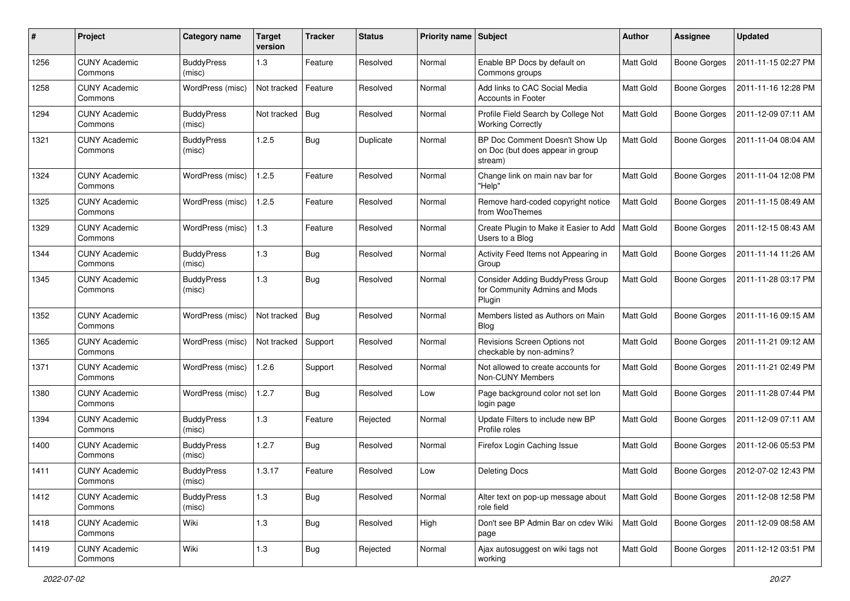| #    | Project                         | <b>Category name</b>        | <b>Target</b><br>version | <b>Tracker</b> | <b>Status</b> | <b>Priority name Subject</b> |                                                                                    | Author           | Assignee            | <b>Updated</b>      |
|------|---------------------------------|-----------------------------|--------------------------|----------------|---------------|------------------------------|------------------------------------------------------------------------------------|------------------|---------------------|---------------------|
| 1256 | <b>CUNY Academic</b><br>Commons | <b>BuddyPress</b><br>(misc) | 1.3                      | Feature        | Resolved      | Normal                       | Enable BP Docs by default on<br>Commons groups                                     | <b>Matt Gold</b> | Boone Gorges        | 2011-11-15 02:27 PM |
| 1258 | <b>CUNY Academic</b><br>Commons | WordPress (misc)            | Not tracked              | Feature        | Resolved      | Normal                       | Add links to CAC Social Media<br>Accounts in Footer                                | Matt Gold        | Boone Gorges        | 2011-11-16 12:28 PM |
| 1294 | <b>CUNY Academic</b><br>Commons | <b>BuddyPress</b><br>(misc) | Not tracked              | Bug            | Resolved      | Normal                       | Profile Field Search by College Not<br><b>Working Correctly</b>                    | Matt Gold        | Boone Gorges        | 2011-12-09 07:11 AM |
| 1321 | <b>CUNY Academic</b><br>Commons | <b>BuddyPress</b><br>(misc) | 1.2.5                    | <b>Bug</b>     | Duplicate     | Normal                       | BP Doc Comment Doesn't Show Up<br>on Doc (but does appear in group<br>stream)      | Matt Gold        | <b>Boone Gorges</b> | 2011-11-04 08:04 AM |
| 1324 | <b>CUNY Academic</b><br>Commons | WordPress (misc)            | 1.2.5                    | Feature        | Resolved      | Normal                       | Change link on main nav bar for<br>"Help"                                          | Matt Gold        | Boone Gorges        | 2011-11-04 12:08 PM |
| 1325 | <b>CUNY Academic</b><br>Commons | WordPress (misc)            | 1.2.5                    | Feature        | Resolved      | Normal                       | Remove hard-coded copyright notice<br>from WooThemes                               | Matt Gold        | <b>Boone Gorges</b> | 2011-11-15 08:49 AM |
| 1329 | <b>CUNY Academic</b><br>Commons | WordPress (misc)            | 1.3                      | Feature        | Resolved      | Normal                       | Create Plugin to Make it Easier to Add<br>Users to a Blog                          | Matt Gold        | Boone Gorges        | 2011-12-15 08:43 AM |
| 1344 | <b>CUNY Academic</b><br>Commons | <b>BuddyPress</b><br>(misc) | 1.3                      | <b>Bug</b>     | Resolved      | Normal                       | Activity Feed Items not Appearing in<br>Group                                      | Matt Gold        | <b>Boone Gorges</b> | 2011-11-14 11:26 AM |
| 1345 | <b>CUNY Academic</b><br>Commons | <b>BuddyPress</b><br>(misc) | 1.3                      | <b>Bug</b>     | Resolved      | Normal                       | <b>Consider Adding BuddyPress Group</b><br>for Community Admins and Mods<br>Plugin | <b>Matt Gold</b> | Boone Gorges        | 2011-11-28 03:17 PM |
| 1352 | <b>CUNY Academic</b><br>Commons | WordPress (misc)            | Not tracked              | $\vert$ Bug    | Resolved      | Normal                       | Members listed as Authors on Main<br><b>Blog</b>                                   | Matt Gold        | Boone Gorges        | 2011-11-16 09:15 AM |
| 1365 | <b>CUNY Academic</b><br>Commons | WordPress (misc)            | Not tracked              | Support        | Resolved      | Normal                       | Revisions Screen Options not<br>checkable by non-admins?                           | Matt Gold        | Boone Gorges        | 2011-11-21 09:12 AM |
| 1371 | <b>CUNY Academic</b><br>Commons | WordPress (misc)            | 1.2.6                    | Support        | Resolved      | Normal                       | Not allowed to create accounts for<br>Non-CUNY Members                             | Matt Gold        | Boone Gorges        | 2011-11-21 02:49 PM |
| 1380 | <b>CUNY Academic</b><br>Commons | WordPress (misc)            | 1.2.7                    | <b>Bug</b>     | Resolved      | Low                          | Page background color not set lon<br>login page                                    | <b>Matt Gold</b> | <b>Boone Gorges</b> | 2011-11-28 07:44 PM |
| 1394 | <b>CUNY Academic</b><br>Commons | <b>BuddyPress</b><br>(misc) | 1.3                      | Feature        | Rejected      | Normal                       | Update Filters to include new BP<br>Profile roles                                  | <b>Matt Gold</b> | Boone Gorges        | 2011-12-09 07:11 AM |
| 1400 | <b>CUNY Academic</b><br>Commons | <b>BuddyPress</b><br>(misc) | 1.2.7                    | <b>Bug</b>     | Resolved      | Normal                       | Firefox Login Caching Issue                                                        | Matt Gold        | Boone Gorges        | 2011-12-06 05:53 PM |
| 1411 | <b>CUNY Academic</b><br>Commons | <b>BuddyPress</b><br>(mısc) | 1.3.17                   | Feature        | Resolved      | Low                          | <b>Deleting Docs</b>                                                               | Matt Gold        | Boone Gorges        | 2012-07-02 12:43 PM |
| 1412 | <b>CUNY Academic</b><br>Commons | <b>BuddyPress</b><br>(misc) | 1.3                      | <b>Bug</b>     | Resolved      | Normal                       | Alter text on pop-up message about<br>role field                                   | Matt Gold        | Boone Gorges        | 2011-12-08 12:58 PM |
| 1418 | <b>CUNY Academic</b><br>Commons | Wiki                        | 1.3                      | <b>Bug</b>     | Resolved      | High                         | Don't see BP Admin Bar on cdev Wiki<br>page                                        | Matt Gold        | Boone Gorges        | 2011-12-09 08:58 AM |
| 1419 | <b>CUNY Academic</b><br>Commons | Wiki                        | 1.3                      | <b>Bug</b>     | Rejected      | Normal                       | Ajax autosuggest on wiki tags not<br>working                                       | Matt Gold        | Boone Gorges        | 2011-12-12 03:51 PM |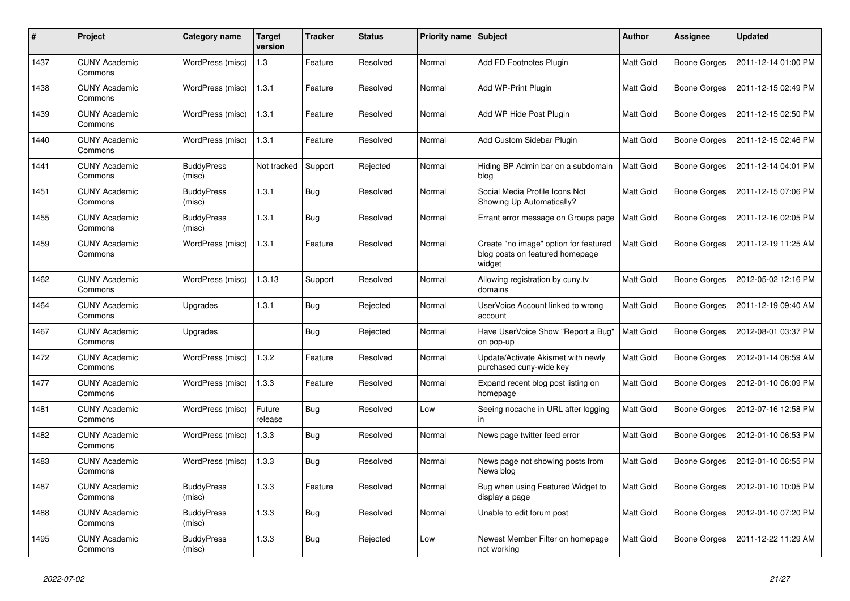| $\pmb{\#}$ | <b>Project</b>                  | Category name               | Target<br>version | <b>Tracker</b> | <b>Status</b> | <b>Priority name   Subject</b> |                                                                                    | <b>Author</b>    | <b>Assignee</b>     | <b>Updated</b>      |
|------------|---------------------------------|-----------------------------|-------------------|----------------|---------------|--------------------------------|------------------------------------------------------------------------------------|------------------|---------------------|---------------------|
| 1437       | <b>CUNY Academic</b><br>Commons | WordPress (misc)            | 1.3               | Feature        | Resolved      | Normal                         | Add FD Footnotes Plugin                                                            | <b>Matt Gold</b> | <b>Boone Gorges</b> | 2011-12-14 01:00 PM |
| 1438       | <b>CUNY Academic</b><br>Commons | WordPress (misc)            | 1.3.1             | Feature        | Resolved      | Normal                         | Add WP-Print Plugin                                                                | <b>Matt Gold</b> | Boone Gorges        | 2011-12-15 02:49 PM |
| 1439       | <b>CUNY Academic</b><br>Commons | WordPress (misc)            | 1.3.1             | Feature        | Resolved      | Normal                         | Add WP Hide Post Plugin                                                            | Matt Gold        | Boone Gorges        | 2011-12-15 02:50 PM |
| 1440       | <b>CUNY Academic</b><br>Commons | WordPress (misc)            | 1.3.1             | Feature        | Resolved      | Normal                         | Add Custom Sidebar Plugin                                                          | <b>Matt Gold</b> | Boone Gorges        | 2011-12-15 02:46 PM |
| 1441       | <b>CUNY Academic</b><br>Commons | <b>BuddyPress</b><br>(misc) | Not tracked       | Support        | Rejected      | Normal                         | Hiding BP Admin bar on a subdomain<br>blog                                         | <b>Matt Gold</b> | Boone Gorges        | 2011-12-14 04:01 PM |
| 1451       | <b>CUNY Academic</b><br>Commons | <b>BuddyPress</b><br>(misc) | 1.3.1             | Bug            | Resolved      | Normal                         | Social Media Profile Icons Not<br>Showing Up Automatically?                        | Matt Gold        | Boone Gorges        | 2011-12-15 07:06 PM |
| 1455       | <b>CUNY Academic</b><br>Commons | <b>BuddyPress</b><br>(misc) | 1.3.1             | <b>Bug</b>     | Resolved      | Normal                         | Errant error message on Groups page                                                | <b>Matt Gold</b> | Boone Gorges        | 2011-12-16 02:05 PM |
| 1459       | <b>CUNY Academic</b><br>Commons | WordPress (misc)            | 1.3.1             | Feature        | Resolved      | Normal                         | Create "no image" option for featured<br>blog posts on featured homepage<br>widget | Matt Gold        | Boone Gorges        | 2011-12-19 11:25 AM |
| 1462       | <b>CUNY Academic</b><br>Commons | WordPress (misc)            | 1.3.13            | Support        | Resolved      | Normal                         | Allowing registration by cuny.tv<br>domains                                        | Matt Gold        | Boone Gorges        | 2012-05-02 12:16 PM |
| 1464       | <b>CUNY Academic</b><br>Commons | Upgrades                    | 1.3.1             | <b>Bug</b>     | Rejected      | Normal                         | UserVoice Account linked to wrong<br>account                                       | Matt Gold        | <b>Boone Gorges</b> | 2011-12-19 09:40 AM |
| 1467       | <b>CUNY Academic</b><br>Commons | Upgrades                    |                   | Bug            | Rejected      | Normal                         | Have UserVoice Show "Report a Bug"<br>on pop-up                                    | <b>Matt Gold</b> | Boone Gorges        | 2012-08-01 03:37 PM |
| 1472       | <b>CUNY Academic</b><br>Commons | WordPress (misc)            | 1.3.2             | Feature        | Resolved      | Normal                         | Update/Activate Akismet with newly<br>purchased cuny-wide key                      | Matt Gold        | Boone Gorges        | 2012-01-14 08:59 AM |
| 1477       | <b>CUNY Academic</b><br>Commons | WordPress (misc)            | 1.3.3             | Feature        | Resolved      | Normal                         | Expand recent blog post listing on<br>homepage                                     | Matt Gold        | <b>Boone Gorges</b> | 2012-01-10 06:09 PM |
| 1481       | <b>CUNY Academic</b><br>Commons | WordPress (misc)            | Future<br>release | <b>Bug</b>     | Resolved      | Low                            | Seeing nocache in URL after logging<br>in                                          | Matt Gold        | Boone Gorges        | 2012-07-16 12:58 PM |
| 1482       | <b>CUNY Academic</b><br>Commons | WordPress (misc)            | 1.3.3             | <b>Bug</b>     | Resolved      | Normal                         | News page twitter feed error                                                       | Matt Gold        | Boone Gorges        | 2012-01-10 06:53 PM |
| 1483       | <b>CUNY Academic</b><br>Commons | WordPress (misc)            | 1.3.3             | <b>Bug</b>     | Resolved      | Normal                         | News page not showing posts from<br>News blog                                      | Matt Gold        | Boone Gorges        | 2012-01-10 06:55 PM |
| 1487       | <b>CUNY Academic</b><br>Commons | <b>BuddyPress</b><br>(misc) | 1.3.3             | Feature        | Resolved      | Normal                         | Bug when using Featured Widget to<br>display a page                                | Matt Gold        | Boone Gorges        | 2012-01-10 10:05 PM |
| 1488       | <b>CUNY Academic</b><br>Commons | <b>BuddyPress</b><br>(misc) | 1.3.3             | <b>Bug</b>     | Resolved      | Normal                         | Unable to edit forum post                                                          | Matt Gold        | Boone Gorges        | 2012-01-10 07:20 PM |
| 1495       | <b>CUNY Academic</b><br>Commons | <b>BuddyPress</b><br>(misc) | 1.3.3             | <b>Bug</b>     | Rejected      | Low                            | Newest Member Filter on homepage<br>not working                                    | <b>Matt Gold</b> | Boone Gorges        | 2011-12-22 11:29 AM |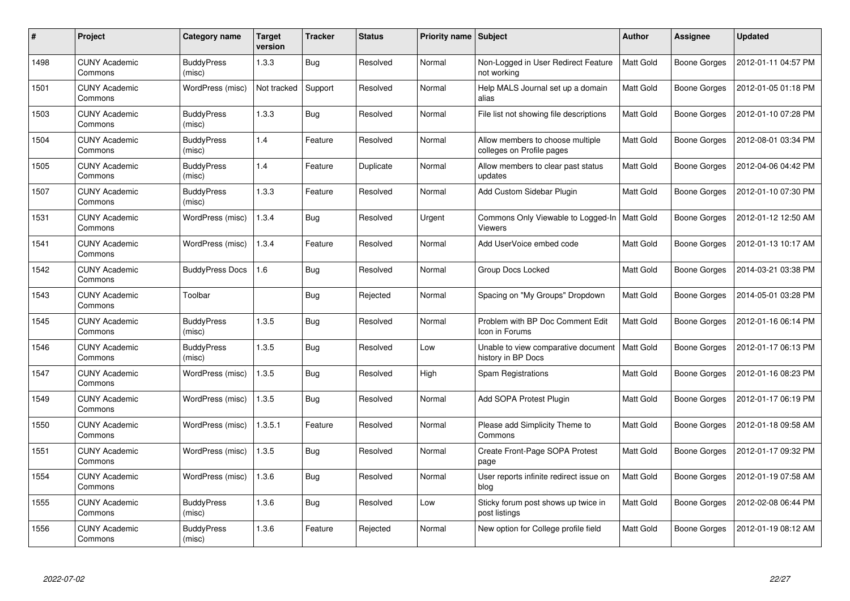| $\pmb{\#}$ | Project                         | Category name               | Target<br>version | Tracker    | <b>Status</b> | <b>Priority name Subject</b> |                                                                  | Author           | <b>Assignee</b>     | <b>Updated</b>      |
|------------|---------------------------------|-----------------------------|-------------------|------------|---------------|------------------------------|------------------------------------------------------------------|------------------|---------------------|---------------------|
| 1498       | <b>CUNY Academic</b><br>Commons | <b>BuddyPress</b><br>(misc) | 1.3.3             | <b>Bug</b> | Resolved      | Normal                       | Non-Logged in User Redirect Feature<br>not working               | Matt Gold        | Boone Gorges        | 2012-01-11 04:57 PM |
| 1501       | <b>CUNY Academic</b><br>Commons | WordPress (misc)            | Not tracked       | Support    | Resolved      | Normal                       | Help MALS Journal set up a domain<br>alias                       | <b>Matt Gold</b> | Boone Gorges        | 2012-01-05 01:18 PM |
| 1503       | <b>CUNY Academic</b><br>Commons | <b>BuddyPress</b><br>(misc) | 1.3.3             | <b>Bug</b> | Resolved      | Normal                       | File list not showing file descriptions                          | Matt Gold        | Boone Gorges        | 2012-01-10 07:28 PM |
| 1504       | <b>CUNY Academic</b><br>Commons | <b>BuddyPress</b><br>(misc) | 1.4               | Feature    | Resolved      | Normal                       | Allow members to choose multiple<br>colleges on Profile pages    | Matt Gold        | Boone Gorges        | 2012-08-01 03:34 PM |
| 1505       | <b>CUNY Academic</b><br>Commons | <b>BuddyPress</b><br>(misc) | 1.4               | Feature    | Duplicate     | Normal                       | Allow members to clear past status<br>updates                    | Matt Gold        | Boone Gorges        | 2012-04-06 04:42 PM |
| 1507       | <b>CUNY Academic</b><br>Commons | <b>BuddyPress</b><br>(misc) | 1.3.3             | Feature    | Resolved      | Normal                       | Add Custom Sidebar Plugin                                        | <b>Matt Gold</b> | Boone Gorges        | 2012-01-10 07:30 PM |
| 1531       | <b>CUNY Academic</b><br>Commons | WordPress (misc)            | 1.3.4             | <b>Bug</b> | Resolved      | Urgent                       | Commons Only Viewable to Logged-In   Matt Gold<br><b>Viewers</b> |                  | Boone Gorges        | 2012-01-12 12:50 AM |
| 1541       | <b>CUNY Academic</b><br>Commons | WordPress (misc)            | 1.3.4             | Feature    | Resolved      | Normal                       | Add UserVoice embed code                                         | Matt Gold        | Boone Gorges        | 2012-01-13 10:17 AM |
| 1542       | <b>CUNY Academic</b><br>Commons | <b>BuddyPress Docs</b>      | 1.6               | <b>Bug</b> | Resolved      | Normal                       | Group Docs Locked                                                | <b>Matt Gold</b> | Boone Gorges        | 2014-03-21 03:38 PM |
| 1543       | <b>CUNY Academic</b><br>Commons | Toolbar                     |                   | <b>Bug</b> | Rejected      | Normal                       | Spacing on "My Groups" Dropdown                                  | Matt Gold        | Boone Gorges        | 2014-05-01 03:28 PM |
| 1545       | <b>CUNY Academic</b><br>Commons | <b>BuddyPress</b><br>(misc) | 1.3.5             | <b>Bug</b> | Resolved      | Normal                       | Problem with BP Doc Comment Edit<br>Icon in Forums               | <b>Matt Gold</b> | <b>Boone Gorges</b> | 2012-01-16 06:14 PM |
| 1546       | <b>CUNY Academic</b><br>Commons | <b>BuddyPress</b><br>(misc) | 1.3.5             | <b>Bug</b> | Resolved      | Low                          | Unable to view comparative document<br>history in BP Docs        | Matt Gold        | Boone Gorges        | 2012-01-17 06:13 PM |
| 1547       | <b>CUNY Academic</b><br>Commons | WordPress (misc)            | 1.3.5             | <b>Bug</b> | Resolved      | High                         | Spam Registrations                                               | Matt Gold        | Boone Gorges        | 2012-01-16 08:23 PM |
| 1549       | <b>CUNY Academic</b><br>Commons | WordPress (misc)            | 1.3.5             | <b>Bug</b> | Resolved      | Normal                       | Add SOPA Protest Plugin                                          | Matt Gold        | Boone Gorges        | 2012-01-17 06:19 PM |
| 1550       | <b>CUNY Academic</b><br>Commons | WordPress (misc)            | 1.3.5.1           | Feature    | Resolved      | Normal                       | Please add Simplicity Theme to<br>Commons                        | Matt Gold        | Boone Gorges        | 2012-01-18 09:58 AM |
| 1551       | <b>CUNY Academic</b><br>Commons | WordPress (misc)            | 1.3.5             | <b>Bug</b> | Resolved      | Normal                       | Create Front-Page SOPA Protest<br>page                           | Matt Gold        | Boone Gorges        | 2012-01-17 09:32 PM |
| 1554       | <b>CUNY Academic</b><br>Commons | WordPress (misc)            | 1.3.6             | Bug        | Resolved      | Normal                       | User reports infinite redirect issue on<br>blog                  | <b>Matt Gold</b> | Boone Gorges        | 2012-01-19 07:58 AM |
| 1555       | <b>CUNY Academic</b><br>Commons | <b>BuddyPress</b><br>(misc) | 1.3.6             | <b>Bug</b> | Resolved      | Low                          | Sticky forum post shows up twice in<br>post listings             | Matt Gold        | Boone Gorges        | 2012-02-08 06:44 PM |
| 1556       | <b>CUNY Academic</b><br>Commons | <b>BuddyPress</b><br>(misc) | 1.3.6             | Feature    | Rejected      | Normal                       | New option for College profile field                             | Matt Gold        | Boone Gorges        | 2012-01-19 08:12 AM |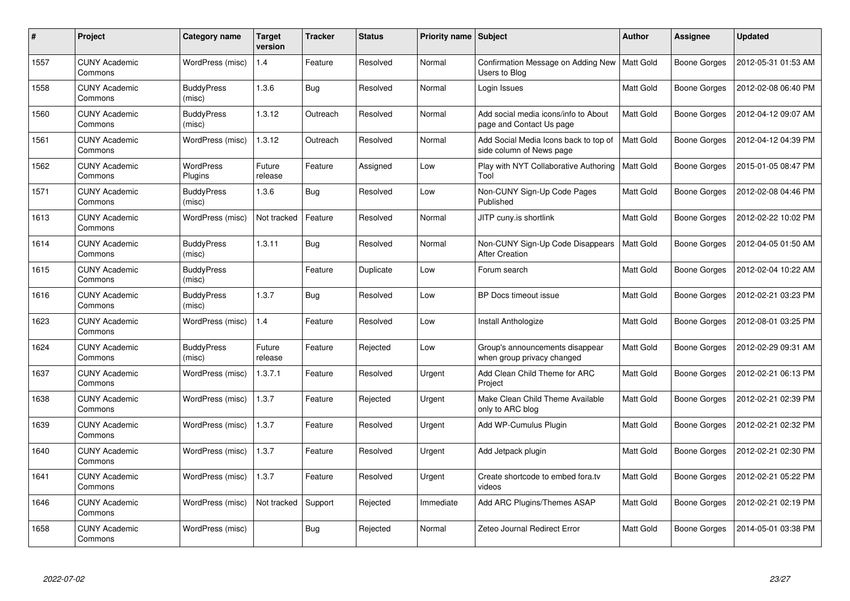| #    | Project                         | Category name               | Target<br>version | Tracker    | <b>Status</b> | <b>Priority name   Subject</b> |                                                                   | <b>Author</b>    | Assignee     | <b>Updated</b>      |
|------|---------------------------------|-----------------------------|-------------------|------------|---------------|--------------------------------|-------------------------------------------------------------------|------------------|--------------|---------------------|
| 1557 | <b>CUNY Academic</b><br>Commons | WordPress (misc)            | 1.4               | Feature    | Resolved      | Normal                         | Confirmation Message on Adding New<br>Users to Blog               | <b>Matt Gold</b> | Boone Gorges | 2012-05-31 01:53 AM |
| 1558 | <b>CUNY Academic</b><br>Commons | <b>BuddyPress</b><br>(misc) | 1.3.6             | Bug        | Resolved      | Normal                         | Login Issues                                                      | <b>Matt Gold</b> | Boone Gorges | 2012-02-08 06:40 PM |
| 1560 | <b>CUNY Academic</b><br>Commons | <b>BuddyPress</b><br>(misc) | 1.3.12            | Outreach   | Resolved      | Normal                         | Add social media icons/info to About<br>page and Contact Us page  | <b>Matt Gold</b> | Boone Gorges | 2012-04-12 09:07 AM |
| 1561 | <b>CUNY Academic</b><br>Commons | WordPress (misc)            | 1.3.12            | Outreach   | Resolved      | Normal                         | Add Social Media Icons back to top of<br>side column of News page | Matt Gold        | Boone Gorges | 2012-04-12 04:39 PM |
| 1562 | <b>CUNY Academic</b><br>Commons | <b>WordPress</b><br>Plugins | Future<br>release | Feature    | Assigned      | Low                            | Play with NYT Collaborative Authoring<br>Tool                     | <b>Matt Gold</b> | Boone Gorges | 2015-01-05 08:47 PM |
| 1571 | <b>CUNY Academic</b><br>Commons | <b>BuddyPress</b><br>(misc) | 1.3.6             | Bug        | Resolved      | Low                            | Non-CUNY Sign-Up Code Pages<br>Published                          | Matt Gold        | Boone Gorges | 2012-02-08 04:46 PM |
| 1613 | <b>CUNY Academic</b><br>Commons | WordPress (misc)            | Not tracked       | Feature    | Resolved      | Normal                         | JITP cuny.is shortlink                                            | Matt Gold        | Boone Gorges | 2012-02-22 10:02 PM |
| 1614 | <b>CUNY Academic</b><br>Commons | <b>BuddyPress</b><br>(misc) | 1.3.11            | <b>Bug</b> | Resolved      | Normal                         | Non-CUNY Sign-Up Code Disappears<br><b>After Creation</b>         | Matt Gold        | Boone Gorges | 2012-04-05 01:50 AM |
| 1615 | <b>CUNY Academic</b><br>Commons | <b>BuddyPress</b><br>(misc) |                   | Feature    | Duplicate     | Low                            | Forum search                                                      | <b>Matt Gold</b> | Boone Gorges | 2012-02-04 10:22 AM |
| 1616 | <b>CUNY Academic</b><br>Commons | <b>BuddyPress</b><br>(misc) | 1.3.7             | Bug        | Resolved      | Low                            | BP Docs timeout issue                                             | <b>Matt Gold</b> | Boone Gorges | 2012-02-21 03:23 PM |
| 1623 | <b>CUNY Academic</b><br>Commons | WordPress (misc)            | 1.4               | Feature    | Resolved      | Low                            | Install Anthologize                                               | Matt Gold        | Boone Gorges | 2012-08-01 03:25 PM |
| 1624 | <b>CUNY Academic</b><br>Commons | <b>BuddyPress</b><br>(misc) | Future<br>release | Feature    | Rejected      | Low                            | Group's announcements disappear<br>when group privacy changed     | Matt Gold        | Boone Gorges | 2012-02-29 09:31 AM |
| 1637 | <b>CUNY Academic</b><br>Commons | WordPress (misc)            | 1.3.7.1           | Feature    | Resolved      | Urgent                         | Add Clean Child Theme for ARC<br>Project                          | Matt Gold        | Boone Gorges | 2012-02-21 06:13 PM |
| 1638 | <b>CUNY Academic</b><br>Commons | WordPress (misc)            | 1.3.7             | Feature    | Rejected      | Urgent                         | Make Clean Child Theme Available<br>only to ARC blog              | <b>Matt Gold</b> | Boone Gorges | 2012-02-21 02:39 PM |
| 1639 | <b>CUNY Academic</b><br>Commons | WordPress (misc)            | 1.3.7             | Feature    | Resolved      | Urgent                         | Add WP-Cumulus Plugin                                             | Matt Gold        | Boone Gorges | 2012-02-21 02:32 PM |
| 1640 | <b>CUNY Academic</b><br>Commons | WordPress (misc)            | 1.3.7             | Feature    | Resolved      | Urgent                         | Add Jetpack plugin                                                | Matt Gold        | Boone Gorges | 2012-02-21 02:30 PM |
| 1641 | <b>CUNY Academic</b><br>Commons | WordPress (misc)            | 1.3.7             | Feature    | Resolved      | Urgent                         | Create shortcode to embed fora.tv<br>videos                       | Matt Gold        | Boone Gorges | 2012-02-21 05:22 PM |
| 1646 | <b>CUNY Academic</b><br>Commons | WordPress (misc)            | Not tracked       | Support    | Rejected      | Immediate                      | Add ARC Plugins/Themes ASAP                                       | Matt Gold        | Boone Gorges | 2012-02-21 02:19 PM |
| 1658 | <b>CUNY Academic</b><br>Commons | WordPress (misc)            |                   | <b>Bug</b> | Rejected      | Normal                         | Zeteo Journal Redirect Error                                      | Matt Gold        | Boone Gorges | 2014-05-01 03:38 PM |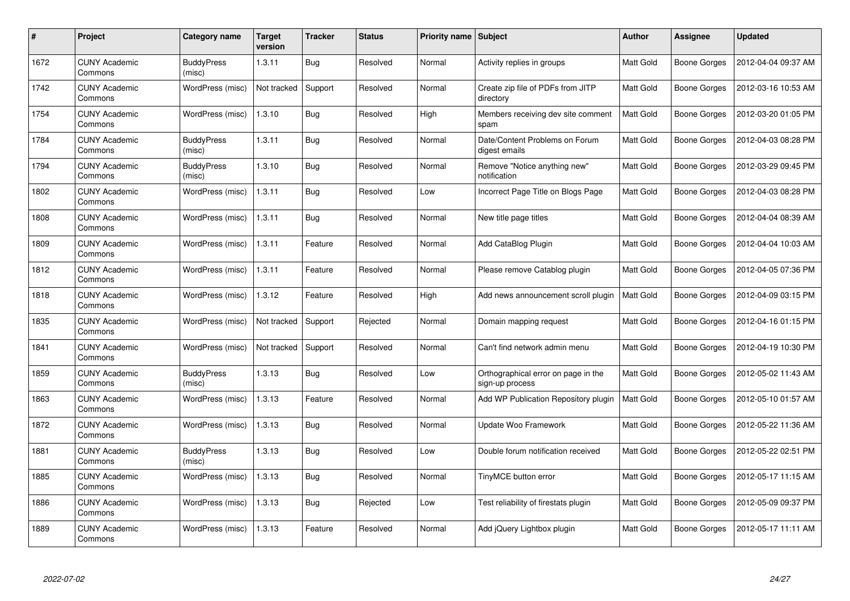| #    | Project                         | Category name               | Target<br>version | Tracker    | <b>Status</b> | <b>Priority name   Subject</b> |                                                        | <b>Author</b>    | <b>Assignee</b> | <b>Updated</b>      |
|------|---------------------------------|-----------------------------|-------------------|------------|---------------|--------------------------------|--------------------------------------------------------|------------------|-----------------|---------------------|
| 1672 | <b>CUNY Academic</b><br>Commons | <b>BuddyPress</b><br>(misc) | 1.3.11            | <b>Bug</b> | Resolved      | Normal                         | Activity replies in groups                             | Matt Gold        | Boone Gorges    | 2012-04-04 09:37 AM |
| 1742 | <b>CUNY Academic</b><br>Commons | WordPress (misc)            | Not tracked       | Support    | Resolved      | Normal                         | Create zip file of PDFs from JITP<br>directory         | <b>Matt Gold</b> | Boone Gorges    | 2012-03-16 10:53 AM |
| 1754 | <b>CUNY Academic</b><br>Commons | WordPress (misc)            | 1.3.10            | <b>Bug</b> | Resolved      | High                           | Members receiving dev site comment<br>spam             | <b>Matt Gold</b> | Boone Gorges    | 2012-03-20 01:05 PM |
| 1784 | <b>CUNY Academic</b><br>Commons | <b>BuddyPress</b><br>(misc) | 1.3.11            | <b>Bug</b> | Resolved      | Normal                         | Date/Content Problems on Forum<br>digest emails        | Matt Gold        | Boone Gorges    | 2012-04-03 08:28 PM |
| 1794 | <b>CUNY Academic</b><br>Commons | <b>BuddyPress</b><br>(misc) | 1.3.10            | <b>Bug</b> | Resolved      | Normal                         | Remove "Notice anything new"<br>notification           | Matt Gold        | Boone Gorges    | 2012-03-29 09:45 PM |
| 1802 | <b>CUNY Academic</b><br>Commons | WordPress (misc)            | 1.3.11            | <b>Bug</b> | Resolved      | Low                            | Incorrect Page Title on Blogs Page                     | Matt Gold        | Boone Gorges    | 2012-04-03 08:28 PM |
| 1808 | <b>CUNY Academic</b><br>Commons | WordPress (misc)            | 1.3.11            | Bug        | Resolved      | Normal                         | New title page titles                                  | <b>Matt Gold</b> | Boone Gorges    | 2012-04-04 08:39 AM |
| 1809 | <b>CUNY Academic</b><br>Commons | WordPress (misc)            | 1.3.11            | Feature    | Resolved      | Normal                         | Add CataBlog Plugin                                    | Matt Gold        | Boone Gorges    | 2012-04-04 10:03 AM |
| 1812 | <b>CUNY Academic</b><br>Commons | WordPress (misc)            | 1.3.11            | Feature    | Resolved      | Normal                         | Please remove Catablog plugin                          | Matt Gold        | Boone Gorges    | 2012-04-05 07:36 PM |
| 1818 | <b>CUNY Academic</b><br>Commons | WordPress (misc)            | 1.3.12            | Feature    | Resolved      | High                           | Add news announcement scroll plugin                    | <b>Matt Gold</b> | Boone Gorges    | 2012-04-09 03:15 PM |
| 1835 | <b>CUNY Academic</b><br>Commons | WordPress (misc)            | Not tracked       | Support    | Rejected      | Normal                         | Domain mapping request                                 | <b>Matt Gold</b> | Boone Gorges    | 2012-04-16 01:15 PM |
| 1841 | <b>CUNY Academic</b><br>Commons | WordPress (misc)            | Not tracked       | Support    | Resolved      | Normal                         | Can't find network admin menu                          | Matt Gold        | Boone Gorges    | 2012-04-19 10:30 PM |
| 1859 | <b>CUNY Academic</b><br>Commons | <b>BuddyPress</b><br>(misc) | 1.3.13            | <b>Bug</b> | Resolved      | Low                            | Orthographical error on page in the<br>sign-up process | Matt Gold        | Boone Gorges    | 2012-05-02 11:43 AM |
| 1863 | <b>CUNY Academic</b><br>Commons | WordPress (misc)            | 1.3.13            | Feature    | Resolved      | Normal                         | Add WP Publication Repository plugin                   | Matt Gold        | Boone Gorges    | 2012-05-10 01:57 AM |
| 1872 | <b>CUNY Academic</b><br>Commons | WordPress (misc)            | 1.3.13            | Bug        | Resolved      | Normal                         | Update Woo Framework                                   | Matt Gold        | Boone Gorges    | 2012-05-22 11:36 AM |
| 1881 | <b>CUNY Academic</b><br>Commons | <b>BuddyPress</b><br>(misc) | 1.3.13            | <b>Bug</b> | Resolved      | Low                            | Double forum notification received                     | <b>Matt Gold</b> | Boone Gorges    | 2012-05-22 02:51 PM |
| 1885 | <b>CUNY Academic</b><br>Commons | WordPress (misc)            | 1.3.13            | <b>Bug</b> | Resolved      | Normal                         | TinyMCE button error                                   | Matt Gold        | Boone Gorges    | 2012-05-17 11:15 AM |
| 1886 | <b>CUNY Academic</b><br>Commons | WordPress (misc)            | 1.3.13            | <b>Bug</b> | Rejected      | Low                            | Test reliability of firestats plugin                   | Matt Gold        | Boone Gorges    | 2012-05-09 09:37 PM |
| 1889 | CUNY Academic<br>Commons        | WordPress (misc)            | 1.3.13            | Feature    | Resolved      | Normal                         | Add jQuery Lightbox plugin                             | <b>Matt Gold</b> | Boone Gorges    | 2012-05-17 11:11 AM |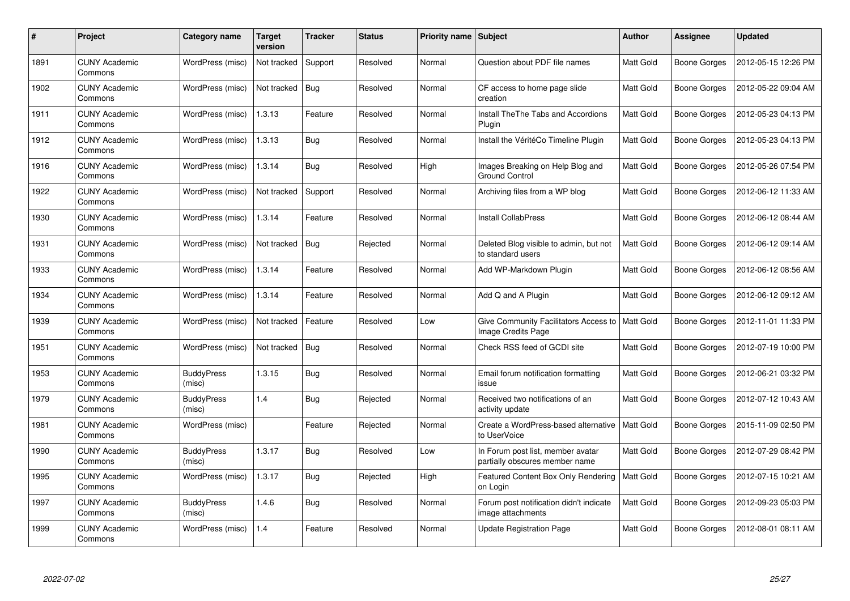| #    | Project                         | Category name               | <b>Target</b><br>version | Tracker    | <b>Status</b> | <b>Priority name   Subject</b> |                                                                     | <b>Author</b>    | Assignee            | <b>Updated</b>      |
|------|---------------------------------|-----------------------------|--------------------------|------------|---------------|--------------------------------|---------------------------------------------------------------------|------------------|---------------------|---------------------|
| 1891 | <b>CUNY Academic</b><br>Commons | WordPress (misc)            | Not tracked              | Support    | Resolved      | Normal                         | Question about PDF file names                                       | <b>Matt Gold</b> | Boone Gorges        | 2012-05-15 12:26 PM |
| 1902 | <b>CUNY Academic</b><br>Commons | WordPress (misc)            | Not tracked              | <b>Bug</b> | Resolved      | Normal                         | CF access to home page slide<br>creation                            | <b>Matt Gold</b> | Boone Gorges        | 2012-05-22 09:04 AM |
| 1911 | <b>CUNY Academic</b><br>Commons | WordPress (misc)            | 1.3.13                   | Feature    | Resolved      | Normal                         | Install The The Tabs and Accordions<br>Plugin                       | <b>Matt Gold</b> | <b>Boone Gorges</b> | 2012-05-23 04:13 PM |
| 1912 | <b>CUNY Academic</b><br>Commons | WordPress (misc)            | 1.3.13                   | <b>Bug</b> | Resolved      | Normal                         | Install the VéritéCo Timeline Plugin                                | Matt Gold        | Boone Gorges        | 2012-05-23 04:13 PM |
| 1916 | <b>CUNY Academic</b><br>Commons | WordPress (misc)            | 1.3.14                   | Bug        | Resolved      | High                           | Images Breaking on Help Blog and<br><b>Ground Control</b>           | <b>Matt Gold</b> | <b>Boone Gorges</b> | 2012-05-26 07:54 PM |
| 1922 | <b>CUNY Academic</b><br>Commons | WordPress (misc)            | Not tracked              | Support    | Resolved      | Normal                         | Archiving files from a WP blog                                      | Matt Gold        | Boone Gorges        | 2012-06-12 11:33 AM |
| 1930 | <b>CUNY Academic</b><br>Commons | WordPress (misc)            | 1.3.14                   | Feature    | Resolved      | Normal                         | <b>Install CollabPress</b>                                          | Matt Gold        | Boone Gorges        | 2012-06-12 08:44 AM |
| 1931 | <b>CUNY Academic</b><br>Commons | WordPress (misc)            | Not tracked              | <b>Bug</b> | Rejected      | Normal                         | Deleted Blog visible to admin, but not<br>to standard users         | Matt Gold        | Boone Gorges        | 2012-06-12 09:14 AM |
| 1933 | <b>CUNY Academic</b><br>Commons | WordPress (misc)            | 1.3.14                   | Feature    | Resolved      | Normal                         | Add WP-Markdown Plugin                                              | <b>Matt Gold</b> | <b>Boone Gorges</b> | 2012-06-12 08:56 AM |
| 1934 | <b>CUNY Academic</b><br>Commons | WordPress (misc)            | 1.3.14                   | Feature    | Resolved      | Normal                         | Add Q and A Plugin                                                  | Matt Gold        | Boone Gorges        | 2012-06-12 09:12 AM |
| 1939 | <b>CUNY Academic</b><br>Commons | WordPress (misc)            | Not tracked              | Feature    | Resolved      | Low                            | Give Community Facilitators Access to<br>Image Credits Page         | <b>Matt Gold</b> | <b>Boone Gorges</b> | 2012-11-01 11:33 PM |
| 1951 | <b>CUNY Academic</b><br>Commons | WordPress (misc)            | Not tracked              | <b>Bug</b> | Resolved      | Normal                         | Check RSS feed of GCDI site                                         | Matt Gold        | Boone Gorges        | 2012-07-19 10:00 PM |
| 1953 | <b>CUNY Academic</b><br>Commons | <b>BuddyPress</b><br>(misc) | 1.3.15                   | <b>Bug</b> | Resolved      | Normal                         | Email forum notification formatting<br>issue                        | Matt Gold        | Boone Gorges        | 2012-06-21 03:32 PM |
| 1979 | <b>CUNY Academic</b><br>Commons | <b>BuddyPress</b><br>(misc) | 1.4                      | <b>Bug</b> | Rejected      | Normal                         | Received two notifications of an<br>activity update                 | Matt Gold        | Boone Gorges        | 2012-07-12 10:43 AM |
| 1981 | <b>CUNY Academic</b><br>Commons | WordPress (misc)            |                          | Feature    | Rejected      | Normal                         | Create a WordPress-based alternative<br>to UserVoice                | Matt Gold        | Boone Gorges        | 2015-11-09 02:50 PM |
| 1990 | <b>CUNY Academic</b><br>Commons | <b>BuddyPress</b><br>(misc) | 1.3.17                   | <b>Bug</b> | Resolved      | Low                            | In Forum post list, member avatar<br>partially obscures member name | <b>Matt Gold</b> | <b>Boone Gorges</b> | 2012-07-29 08:42 PM |
| 1995 | <b>CUNY Academic</b><br>Commons | WordPress (misc)            | 1.3.17                   | <b>Bug</b> | Rejected      | High                           | Featured Content Box Only Rendering<br>on Login                     | <b>Matt Gold</b> | Boone Gorges        | 2012-07-15 10:21 AM |
| 1997 | <b>CUNY Academic</b><br>Commons | <b>BuddyPress</b><br>(misc) | 1.4.6                    | <b>Bug</b> | Resolved      | Normal                         | Forum post notification didn't indicate<br>image attachments        | Matt Gold        | Boone Gorges        | 2012-09-23 05:03 PM |
| 1999 | <b>CUNY Academic</b><br>Commons | WordPress (misc)            | 1.4                      | Feature    | Resolved      | Normal                         | <b>Update Registration Page</b>                                     | Matt Gold        | Boone Gorges        | 2012-08-01 08:11 AM |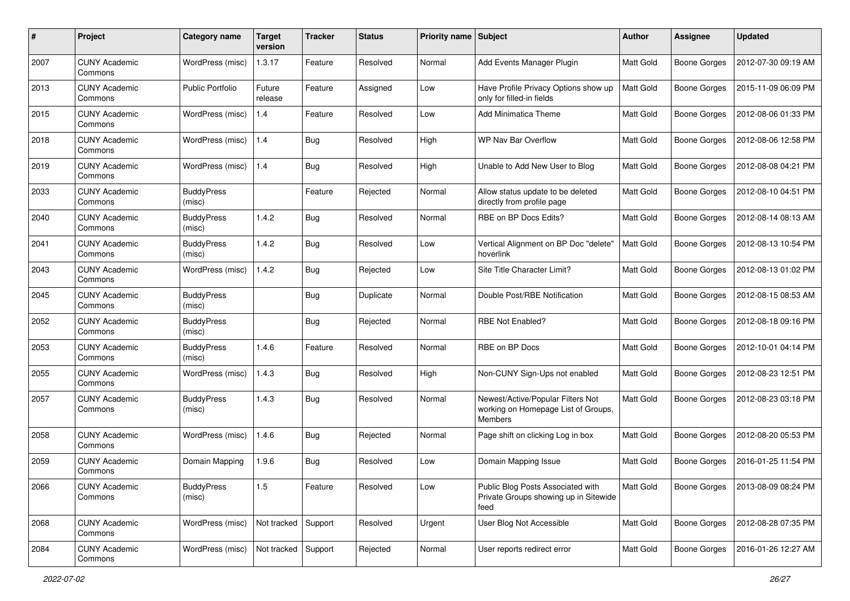| #    | Project                         | Category name               | <b>Target</b><br>version | <b>Tracker</b> | <b>Status</b> | Priority name Subject |                                                                                     | Author           | <b>Assignee</b>     | <b>Updated</b>      |
|------|---------------------------------|-----------------------------|--------------------------|----------------|---------------|-----------------------|-------------------------------------------------------------------------------------|------------------|---------------------|---------------------|
| 2007 | <b>CUNY Academic</b><br>Commons | WordPress (misc)            | 1.3.17                   | Feature        | Resolved      | Normal                | Add Events Manager Plugin                                                           | Matt Gold        | <b>Boone Gorges</b> | 2012-07-30 09:19 AM |
| 2013 | <b>CUNY Academic</b><br>Commons | Public Portfolio            | Future<br>release        | Feature        | Assigned      | Low                   | Have Profile Privacy Options show up<br>only for filled-in fields                   | Matt Gold        | Boone Gorges        | 2015-11-09 06:09 PM |
| 2015 | <b>CUNY Academic</b><br>Commons | WordPress (misc)            | 1.4                      | Feature        | Resolved      | Low                   | <b>Add Minimatica Theme</b>                                                         | Matt Gold        | Boone Gorges        | 2012-08-06 01:33 PM |
| 2018 | <b>CUNY Academic</b><br>Commons | WordPress (misc)            | 1.4                      | <b>Bug</b>     | Resolved      | High                  | WP Nav Bar Overflow                                                                 | <b>Matt Gold</b> | <b>Boone Gorges</b> | 2012-08-06 12:58 PM |
| 2019 | <b>CUNY Academic</b><br>Commons | WordPress (misc)            | 1.4                      | <b>Bug</b>     | Resolved      | High                  | Unable to Add New User to Blog                                                      | <b>Matt Gold</b> | Boone Gorges        | 2012-08-08 04:21 PM |
| 2033 | <b>CUNY Academic</b><br>Commons | <b>BuddyPress</b><br>(misc) |                          | Feature        | Rejected      | Normal                | Allow status update to be deleted<br>directly from profile page                     | Matt Gold        | Boone Gorges        | 2012-08-10 04:51 PM |
| 2040 | <b>CUNY Academic</b><br>Commons | <b>BuddyPress</b><br>(misc) | 1.4.2                    | <b>Bug</b>     | Resolved      | Normal                | RBE on BP Docs Edits?                                                               | Matt Gold        | Boone Gorges        | 2012-08-14 08:13 AM |
| 2041 | <b>CUNY Academic</b><br>Commons | <b>BuddyPress</b><br>(misc) | 1.4.2                    | Bug            | Resolved      | Low                   | Vertical Alignment on BP Doc "delete"<br>hoverlink                                  | <b>Matt Gold</b> | <b>Boone Gorges</b> | 2012-08-13 10:54 PM |
| 2043 | <b>CUNY Academic</b><br>Commons | WordPress (misc)            | 1.4.2                    | <b>Bug</b>     | Rejected      | Low                   | Site Title Character Limit?                                                         | Matt Gold        | Boone Gorges        | 2012-08-13 01:02 PM |
| 2045 | <b>CUNY Academic</b><br>Commons | <b>BuddyPress</b><br>(misc) |                          | <b>Bug</b>     | Duplicate     | Normal                | Double Post/RBE Notification                                                        | Matt Gold        | Boone Gorges        | 2012-08-15 08:53 AM |
| 2052 | <b>CUNY Academic</b><br>Commons | <b>BuddyPress</b><br>(misc) |                          | <b>Bug</b>     | Rejected      | Normal                | RBE Not Enabled?                                                                    | Matt Gold        | Boone Gorges        | 2012-08-18 09:16 PM |
| 2053 | <b>CUNY Academic</b><br>Commons | <b>BuddyPress</b><br>(misc) | 1.4.6                    | Feature        | Resolved      | Normal                | RBE on BP Docs                                                                      | <b>Matt Gold</b> | Boone Gorges        | 2012-10-01 04:14 PM |
| 2055 | <b>CUNY Academic</b><br>Commons | WordPress (misc)            | 1.4.3                    | <b>Bug</b>     | Resolved      | High                  | Non-CUNY Sign-Ups not enabled                                                       | Matt Gold        | Boone Gorges        | 2012-08-23 12:51 PM |
| 2057 | <b>CUNY Academic</b><br>Commons | <b>BuddyPress</b><br>(misc) | 1.4.3                    | <b>Bug</b>     | Resolved      | Normal                | Newest/Active/Popular Filters Not<br>working on Homepage List of Groups,<br>Members | <b>Matt Gold</b> | Boone Gorges        | 2012-08-23 03:18 PM |
| 2058 | <b>CUNY Academic</b><br>Commons | WordPress (misc)            | 1.4.6                    | <b>Bug</b>     | Rejected      | Normal                | Page shift on clicking Log in box                                                   | <b>Matt Gold</b> | Boone Gorges        | 2012-08-20 05:53 PM |
| 2059 | <b>CUNY Academic</b><br>Commons | Domain Mapping              | 1.9.6                    | <b>Bug</b>     | Resolved      | Low                   | Domain Mapping Issue                                                                | <b>Matt Gold</b> | <b>Boone Gorges</b> | 2016-01-25 11:54 PM |
| 2066 | <b>CUNY Academic</b><br>Commons | <b>BuddyPress</b><br>(misc) | $1.5\,$                  | Feature        | Resolved      | Low                   | Public Blog Posts Associated with<br>Private Groups showing up in Sitewide<br>feed  | Matt Gold        | <b>Boone Gorges</b> | 2013-08-09 08:24 PM |
| 2068 | <b>CUNY Academic</b><br>Commons | WordPress (misc)            | Not tracked Support      |                | Resolved      | Urgent                | User Blog Not Accessible                                                            | Matt Gold        | <b>Boone Gorges</b> | 2012-08-28 07:35 PM |
| 2084 | <b>CUNY Academic</b><br>Commons | WordPress (misc)            | Not tracked Support      |                | Rejected      | Normal                | User reports redirect error                                                         | Matt Gold        | <b>Boone Gorges</b> | 2016-01-26 12:27 AM |